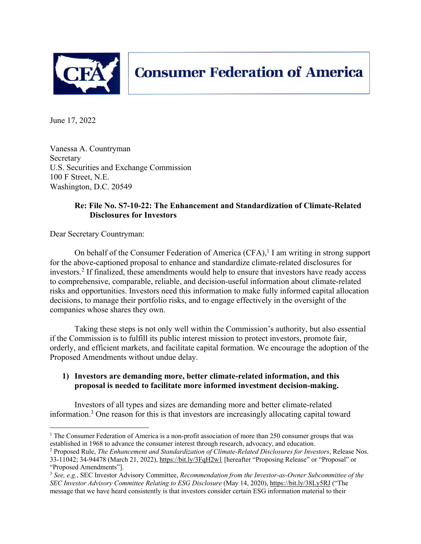

June 17, 2022

Vanessa A. Countryman Secretary U.S. Securities and Exchange Commission 100 F Street, N.E. Washington, D.C. 20549

# **Re: File No. S7-10-22: The Enhancement and Standardization of Climate-Related Disclosures for Investors**

Dear Secretary Countryman:

On behalf of the Consumer Federation of America  $(CFA)$ ,<sup>1</sup> I am writing in strong support for the above-captioned proposal to enhance and standardize climate-related disclosures for investors.2 If finalized, these amendments would help to ensure that investors have ready access to comprehensive, comparable, reliable, and decision-useful information about climate-related risks and opportunities. Investors need this information to make fully informed capital allocation decisions, to manage their portfolio risks, and to engage effectively in the oversight of the companies whose shares they own.

Taking these steps is not only well within the Commission's authority, but also essential if the Commission is to fulfill its public interest mission to protect investors, promote fair, orderly, and efficient markets, and facilitate capital formation. We encourage the adoption of the Proposed Amendments without undue delay.

# **1) Investors are demanding more, better climate-related information, and this proposal is needed to facilitate more informed investment decision-making.**

Investors of all types and sizes are demanding more and better climate-related information. <sup>3</sup> One reason for this is that investors are increasingly allocating capital toward

<sup>&</sup>lt;sup>1</sup> The Consumer Federation of America is a non-profit association of more than 250 consumer groups that was established in 1968 to advance the consumer interest through research, advocacy, and education.

<sup>2</sup> Proposed Rule, *The Enhancement and Standardization of Climate-Related Disclosures for Investors*, Release Nos. 33-11042; 34-94478 (March 21, 2022), https://bit.ly/3FqH2w1 [hereafter "Proposing Release" or "Proposal" or "Proposed Amendments"].

<sup>3</sup> *See, e.g.*, SEC Investor Advisory Committee, *Recommendation from the Investor-as-Owner Subcommittee of the SEC Investor Advisory Committee Relating to ESG Disclosure* (May 14, 2020), https://bit.ly/38Ly5RJ ("The message that we have heard consistently is that investors consider certain ESG information material to their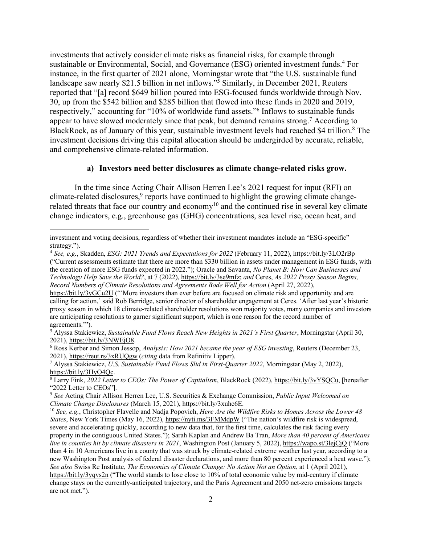investments that actively consider climate risks as financial risks, for example through sustainable or Environmental, Social, and Governance (ESG) oriented investment funds.<sup>4</sup> For instance, in the first quarter of 2021 alone, Morningstar wrote that "the U.S. sustainable fund landscape saw nearly \$21.5 billion in net inflows."5 Similarly, in December 2021, Reuters reported that "[a] record \$649 billion poured into ESG-focused funds worldwide through Nov. 30, up from the \$542 billion and \$285 billion that flowed into these funds in 2020 and 2019, respectively," accounting for "10% of worldwide fund assets."6 Inflows to sustainable funds appear to have slowed moderately since that peak, but demand remains strong.<sup>7</sup> According to BlackRock, as of January of this year, sustainable investment levels had reached \$4 trillion.<sup>8</sup> The investment decisions driving this capital allocation should be undergirded by accurate, reliable, and comprehensive climate-related information.

#### **a) Investors need better disclosures as climate change-related risks grow.**

In the time since Acting Chair Allison Herren Lee's 2021 request for input (RFI) on climate-related disclosures, $9$  reports have continued to highlight the growing climate changerelated threats that face our country and economy<sup>10</sup> and the continued rise in several key climate change indicators, e.g., greenhouse gas (GHG) concentrations, sea level rise, ocean heat, and

investment and voting decisions, regardless of whether their investment mandates include an "ESG-specific" strategy.").

<sup>4</sup> *See, e.g.*, Skadden, *ESG: 2021 Trends and Expectations for 2022* (February 11, 2022), https://bit.ly/3LO2rBp ("Current assessments estimate that there are more than \$330 billion in assets under management in ESG funds, with the creation of more ESG funds expected in 2022."); Oracle and Savanta, *No Planet B: How Can Businesses and Technology Help Save the World?*, at 7 (2022), https://bit.ly/3se9mfz; *and* Ceres, *As 2022 Proxy Season Begins, Record Numbers of Climate Resolutions and Agreements Bode Well for Action* (April 27, 2022),

https://bit.ly/3yGCu2U ("'More investors than ever before are focused on climate risk and opportunity and are calling for action,' said Rob Berridge, senior director of shareholder engagement at Ceres. 'After last year's historic proxy season in which 18 climate-related shareholder resolutions won majority votes, many companies and investors are anticipating resolutions to garner significant support, which is one reason for the record number of agreements.'").

<sup>&</sup>lt;sup>5</sup> Alyssa Stakiewicz, *Sustainable Fund Flows Reach New Heights in 2021's First Quarter*, Morningstar (April 30, 2021), https://bit.ly/3NWEjO8.

<sup>&</sup>lt;sup>6</sup> Ross Kerber and Simon Jessop, *Analysis: How 2021 became the year of ESG investing*, Reuters (December 23, 2021), https://reut.rs/3xRUQgw (*citing* data from Refinitiv Lipper). 7 Alyssa Stakiewicz, *U.S. Sustainable Fund Flows Slid in First-Quarter 2022*, Morningstar (May 2, 2022),

https://bit.ly/3HyO4Qc. 8 Larry Fink, *2022 Letter to CEOs: The Power of Capitalism*, BlackRock (2022), https://bit.ly/3vYSQCu, [hereafter

<sup>&</sup>quot;2022 Letter to CEOs"].

<sup>9</sup> *See* Acting Chair Allison Herren Lee, U.S. Securities & Exchange Commission, *Public Input Welcomed on Climate Change Disclosures* (March 15, 2021), *https://bit.ly/3xuhc6E*.<br><sup>10</sup> *See, e.g.*, Christopher Flavelle and Nadja Popovich, *Here Are the Wildfire Risks to Homes Across the Lower 48* 

*States*, New York Times (May 16, 2022), https://nyti.ms/3FMMdpW ("The nation's wildfire risk is widespread, severe and accelerating quickly, according to new data that, for the first time, calculates the risk facing every property in the contiguous United States."); Sarah Kaplan and Andrew Ba Tran, *More than 40 percent of Americans live in counties hit by climate disasters in 2021*, Washington Post (January 5, 2022), https://wapo.st/3lejCjQ ("More than 4 in 10 Americans live in a county that was struck by climate-related extreme weather last year, according to a new Washington Post analysis of federal disaster declarations, and more than 80 percent experienced a heat wave."); *See also* Swiss Re Institute, *The Economics of Climate Change: No Action Not an Option*, at 1 (April 2021), https://bit.ly/3yqvs2n ("The world stands to lose close to 10% of total economic value by mid-century if climate change stays on the currently-anticipated trajectory, and the Paris Agreement and 2050 net-zero emissions targets are not met.").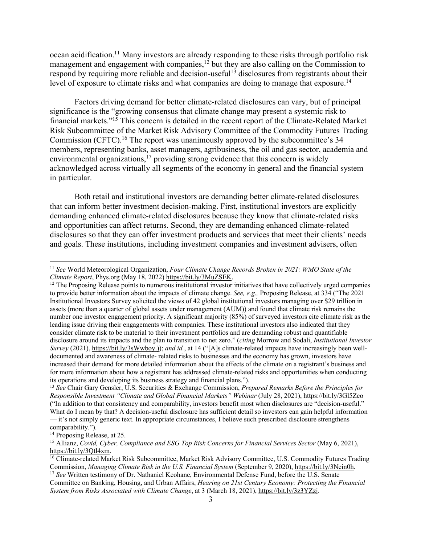ocean acidification.11 Many investors are already responding to these risks through portfolio risk management and engagement with companies,<sup>12</sup> but they are also calling on the Commission to respond by requiring more reliable and decision-useful<sup>13</sup> disclosures from registrants about their level of exposure to climate risks and what companies are doing to manage that exposure.<sup>14</sup>

Factors driving demand for better climate-related disclosures can vary, but of principal significance is the "growing consensus that climate change may present a systemic risk to financial markets."15 This concern is detailed in the recent report of the Climate-Related Market Risk Subcommittee of the Market Risk Advisory Committee of the Commodity Futures Trading Commission (CFTC).<sup>16</sup> The report was unanimously approved by the subcommittee's 34 members, representing banks, asset managers, agribusiness, the oil and gas sector, academia and environmental organizations,<sup>17</sup> providing strong evidence that this concern is widely acknowledged across virtually all segments of the economy in general and the financial system in particular.

Both retail and institutional investors are demanding better climate-related disclosures that can inform better investment decision-making. First, institutional investors are explicitly demanding enhanced climate-related disclosures because they know that climate-related risks and opportunities can affect returns. Second, they are demanding enhanced climate-related disclosures so that they can offer investment products and services that meet their clients' needs and goals. These institutions, including investment companies and investment advisers, often

<sup>11</sup> *See* World Meteorological Organization, *Four Climate Change Records Broken in 2021: WMO State of the Climate Report*, Phys.org (May 18, 2022) https://bit.ly/3MuZSEK.<br><sup>12</sup> The Proposing Release points to numerous institutional investor initiatives that have collectively urged companies

to provide better information about the impacts of climate change. *See, e.g.,* Proposing Release, at 334 ("The 2021 Institutional Investors Survey solicited the views of 42 global institutional investors managing over \$29 trillion in assets (more than a quarter of global assets under management (AUM)) and found that climate risk remains the number one investor engagement priority. A significant majority (85%) of surveyed investors cite climate risk as the leading issue driving their engagements with companies. These institutional investors also indicated that they consider climate risk to be material to their investment portfolios and are demanding robust and quantifiable disclosure around its impacts and the plan to transition to net zero." (*citing* Morrow and Sodali, *Institutional Investor Survey* (2021), https://bit.ly/3sWwboy.)); *and id.*, at 14 ("[A]s climate-related impacts have increasingly been welldocumented and awareness of climate- related risks to businesses and the economy has grown, investors have increased their demand for more detailed information about the effects of the climate on a registrant's business and for more information about how a registrant has addressed climate-related risks and opportunities when conducting its operations and developing its business strategy and financial plans.").

<sup>13</sup> *See* Chair Gary Gensler, U.S. Securities & Exchange Commission, *Prepared Remarks Before the Principles for Responsible Investment "Climate and Global Financial Markets" Webinar* (July 28, 2021), https://bit.ly/3Gl5Zco ("In addition to that consistency and comparability, investors benefit most when disclosures are "decision-useful." What do I mean by that? A decision-useful disclosure has sufficient detail so investors can gain helpful information — it's not simply generic text. In appropriate circumstances, I believe such prescribed disclosure strengthens comparability.").

<sup>&</sup>lt;sup>14</sup> Proposing Release, at 25.

<sup>15</sup> Allianz, *Covid, Cyber, Compliance and ESG Top Risk Concerns for Financial Services Sector* (May 6, 2021), https://bit.ly/3Qtl4xm.<br><sup>16</sup> Climate-related Market Risk Subcommittee, Market Risk Advisory Committee, U.S. Commodity Futures Trading

Commission, *Managing Climate Risk in the U.S. Financial System* (September 9, 2020), https://bit.ly/3Nein0h.

<sup>&</sup>lt;sup>17</sup> *See* Written testimony of Dr. Nathaniel Keohane, Environmental Defense Fund, before the U.S. Senate Committee on Banking, Housing, and Urban Affairs, *Hearing on 21st Century Economy: Protecting the Financial System from Risks Associated with Climate Change*, at 3 (March 18, 2021), https://bit.ly/3z3YZzj.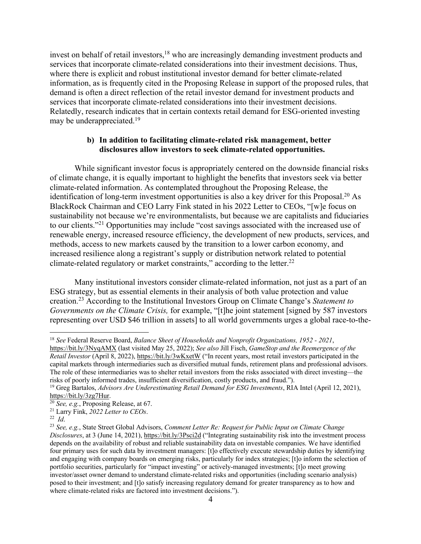invest on behalf of retail investors,  $18$  who are increasingly demanding investment products and services that incorporate climate-related considerations into their investment decisions. Thus, where there is explicit and robust institutional investor demand for better climate-related information, as is frequently cited in the Proposing Release in support of the proposed rules, that demand is often a direct reflection of the retail investor demand for investment products and services that incorporate climate-related considerations into their investment decisions. Relatedly, research indicates that in certain contexts retail demand for ESG-oriented investing may be underappreciated.<sup>19</sup>

## **b) In addition to facilitating climate-related risk management, better disclosures allow investors to seek climate-related opportunities.**

While significant investor focus is appropriately centered on the downside financial risks of climate change, it is equally important to highlight the benefits that investors seek via better climate-related information. As contemplated throughout the Proposing Release, the identification of long-term investment opportunities is also a key driver for this Proposal.<sup>20</sup> As BlackRock Chairman and CEO Larry Fink stated in his 2022 Letter to CEOs, "[w]e focus on sustainability not because we're environmentalists, but because we are capitalists and fiduciaries to our clients."21 Opportunities may include "cost savings associated with the increased use of renewable energy, increased resource efficiency, the development of new products, services, and methods, access to new markets caused by the transition to a lower carbon economy, and increased resilience along a registrant's supply or distribution network related to potential climate-related regulatory or market constraints," according to the letter.<sup>22</sup>

Many institutional investors consider climate-related information, not just as a part of an ESG strategy, but as essential elements in their analysis of both value protection and value creation. <sup>23</sup> According to the Institutional Investors Group on Climate Change's *Statement to Governments on the Climate Crisis,* for example, "[t]he joint statement [signed by 587 investors representing over USD \$46 trillion in assets] to all world governments urges a global race-to-the-

<sup>18</sup> *See* Federal Reserve Board, *Balance Sheet of Households and Nonprofit Organizations, 1952 - 2021*,

https://bit.ly/3NyqAMX (last visited May 25, 2022); *See also* Jill Fisch, *GameStop and the Reemergence of the Retail Investor* (April 8, 2022), https://bit.ly/3wKxetW ("In recent years, most retail investors participated in the capital markets through intermediaries such as diversified mutual funds, retirement plans and professional advisors. The role of these intermediaries was to shelter retail investors from the risks associated with direct investing—the risks of poorly informed trades, insufficient diversification, costly products, and fraud.").

<sup>19</sup> Greg Bartalos, *Advisors Are Underestimating Retail Demand for ESG Investments*, RIA Intel (April 12, 2021), https://bit.ly/3zg7Hur. 20 *See, e.g.*, Proposing Release, at 67.

<sup>21</sup> Larry Fink, *2022 Letter to CEOs*. 22 *Id*.

<sup>23</sup> *See, e.g.*, State Street Global Advisors, *Comment Letter Re: Request for Public Input on Climate Change Disclosures*, at 3 (June 14, 2021), https://bit.ly/3Psci2d ("Integrating sustainability risk into the investment process depends on the availability of robust and reliable sustainability data on investable companies. We have identified four primary uses for such data by investment managers: [t]o effectively execute stewardship duties by identifying and engaging with company boards on emerging risks, particularly for index strategies; [t]o inform the selection of portfolio securities, particularly for "impact investing" or actively-managed investments; [t]o meet growing investor/asset owner demand to understand climate-related risks and opportunities (including scenario analysis) posed to their investment; and [t]o satisfy increasing regulatory demand for greater transparency as to how and where climate-related risks are factored into investment decisions.").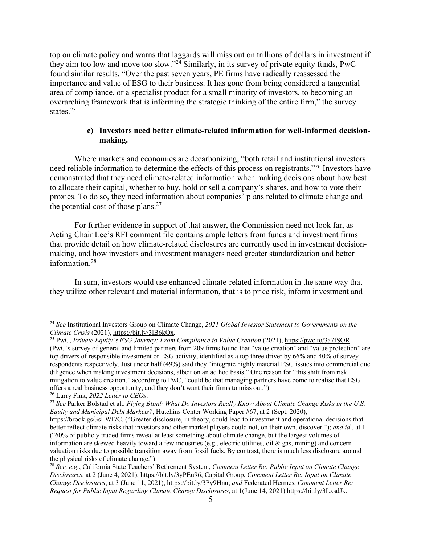top on climate policy and warns that laggards will miss out on trillions of dollars in investment if they aim too low and move too slow."24 Similarly, in its survey of private equity funds, PwC found similar results. "Over the past seven years, PE firms have radically reassessed the importance and value of ESG to their business. It has gone from being considered a tangential area of compliance, or a specialist product for a small minority of investors, to becoming an overarching framework that is informing the strategic thinking of the entire firm," the survey states.25

#### **c) Investors need better climate-related information for well-informed decisionmaking.**

Where markets and economies are decarbonizing, "both retail and institutional investors need reliable information to determine the effects of this process on registrants."26 Investors have demonstrated that they need climate-related information when making decisions about how best to allocate their capital, whether to buy, hold or sell a company's shares, and how to vote their proxies. To do so, they need information about companies' plans related to climate change and the potential cost of those plans.27

For further evidence in support of that answer, the Commission need not look far, as Acting Chair Lee's RFI comment file contains ample letters from funds and investment firms that provide detail on how climate-related disclosures are currently used in investment decisionmaking, and how investors and investment managers need greater standardization and better information.28

In sum, investors would use enhanced climate-related information in the same way that they utilize other relevant and material information, that is to price risk, inform investment and

<sup>&</sup>lt;sup>24</sup> *See* Institutional Investors Group on Climate Change, 2021 Global Investor Statement to Governments on the Climate Crisis (2021), https://bit.ly/3IB6kOx.

<sup>&</sup>lt;sup>25</sup> PwC, *Private Equity's ESG Journey: From Compliance to Value Creation* (2021), https://pwc.to/3a7fSOR (PwC's survey of general and limited partners from 209 firms found that "value creation" and "value protection" are top drivers of responsible investment or ESG activity, identified as a top three driver by 66% and 40% of survey respondents respectively. Just under half (49%) said they "integrate highly material ESG issues into commercial due diligence when making investment decisions, albeit on an ad hoc basis." One reason for "this shift from risk mitigation to value creation," according to PwC, "could be that managing partners have come to realise that ESG offers a real business opportunity, and they don't want their firms to miss out.").

<sup>26</sup> Larry Fink, *2022 Letter to CEOs*.

<sup>27</sup> *See* Parker Bolstad et al., *Flying Blind: What Do Investors Really Know About Climate Change Risks in the U.S. Equity and Municipal Debt Markets?*, Hutchins Center Working Paper #67, at 2 (Sept. 2020),

https://brook.gs/3sLWI7C. ("Greater disclosure, in theory, could lead to investment and operational decisions that better reflect climate risks that investors and other market players could not, on their own, discover."); *and id.*, at 1 ("60% of publicly traded firms reveal at least something about climate change, but the largest volumes of information are skewed heavily toward a few industries (e.g., electric utilities, oil  $\&$  gas, mining) and concern valuation risks due to possible transition away from fossil fuels. By contrast, there is much less disclosure around the physical risks of climate change.").

<sup>28</sup> *See, e.g.*, California State Teachers' Retirement System, *Comment Letter Re: Public Input on Climate Change Disclosures*, at 2 (June 4, 2021), https://bit.ly/3yPEu96; Capital Group, *Comment Letter Re: Input on Climate Change Disclosures*, at 3 (June 11, 2021), https://bit.ly/3Py9Hnu; *and* Federated Hermes, *Comment Letter Re: Request for Public Input Regarding Climate Change Disclosures*, at 1(June 14, 2021) https://bit.ly/3LxsdJk.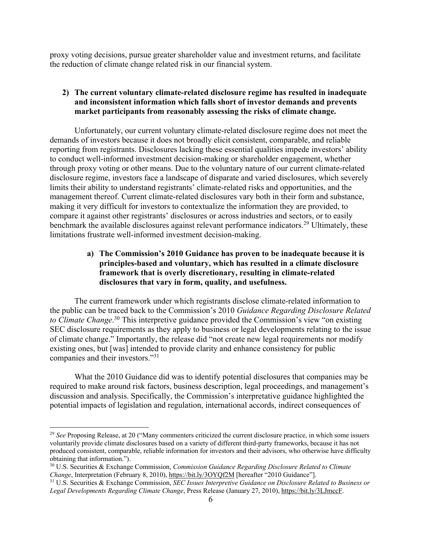proxy voting decisions, pursue greater shareholder value and investment returns, and facilitate the reduction of climate change related risk in our financial system.

## **2) The current voluntary climate-related disclosure regime has resulted in inadequate and inconsistent information which falls short of investor demands and prevents market participants from reasonably assessing the risks of climate change.**

Unfortunately, our current voluntary climate-related disclosure regime does not meet the demands of investors because it does not broadly elicit consistent, comparable, and reliable reporting from registrants. Disclosures lacking these essential qualities impede investors' ability to conduct well-informed investment decision-making or shareholder engagement, whether through proxy voting or other means. Due to the voluntary nature of our current climate-related disclosure regime, investors face a landscape of disparate and varied disclosures, which severely limits their ability to understand registrants' climate-related risks and opportunities, and the management thereof. Current climate-related disclosures vary both in their form and substance, making it very difficult for investors to contextualize the information they are provided, to compare it against other registrants' disclosures or across industries and sectors, or to easily benchmark the available disclosures against relevant performance indicators.<sup>29</sup> Ultimately, these limitations frustrate well-informed investment decision-making.

## **a) The Commission's 2010 Guidance has proven to be inadequate because it is principles-based and voluntary, which has resulted in a climate disclosure framework that is overly discretionary, resulting in climate-related disclosures that vary in form, quality, and usefulness.**

The current framework under which registrants disclose climate-related information to the public can be traced back to the Commission's 2010 *Guidance Regarding Disclosure Related to Climate Change*. <sup>30</sup> This interpretive guidance provided the Commission's view "on existing SEC disclosure requirements as they apply to business or legal developments relating to the issue of climate change." Importantly, the release did "not create new legal requirements nor modify existing ones, but [was] intended to provide clarity and enhance consistency for public companies and their investors."31

What the 2010 Guidance did was to identify potential disclosures that companies may be required to make around risk factors, business description, legal proceedings, and management's discussion and analysis. Specifically, the Commission's interpretative guidance highlighted the potential impacts of legislation and regulation, international accords, indirect consequences of

<sup>29</sup> *See* Proposing Release, at 20 ("Many commenters criticized the current disclosure practice, in which some issuers voluntarily provide climate disclosures based on a variety of different third-party frameworks, because it has not produced consistent, comparable, reliable information for investors and their advisors, who otherwise have difficulty obtaining that information.").

<sup>30</sup> U.S. Securities & Exchange Commission, *Commission Guidance Regarding Disclosure Related to Climate Change*, Interpretation (February 8, 2010), https://bit.ly/3OYQf2M [hereafter "2010 Guidance"].

<sup>31</sup> U.S. Securities & Exchange Commission, *SEC Issues Interpretive Guidance on Disclosure Related to Business or Legal Developments Regarding Climate Change*, Press Release (January 27, 2010), https://bit.ly/3LJmccF.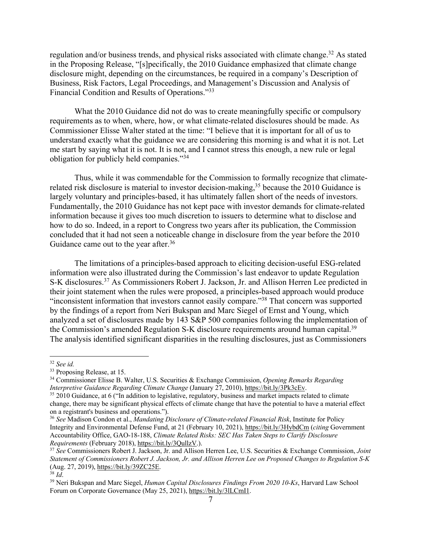regulation and/or business trends, and physical risks associated with climate change.<sup>32</sup> As stated in the Proposing Release, "[s]pecifically, the 2010 Guidance emphasized that climate change disclosure might, depending on the circumstances, be required in a company's Description of Business, Risk Factors, Legal Proceedings, and Management's Discussion and Analysis of Financial Condition and Results of Operations."33

What the 2010 Guidance did not do was to create meaningfully specific or compulsory requirements as to when, where, how, or what climate-related disclosures should be made. As Commissioner Elisse Walter stated at the time: "I believe that it is important for all of us to understand exactly what the guidance we are considering this morning is and what it is not. Let me start by saying what it is not. It is not, and I cannot stress this enough, a new rule or legal obligation for publicly held companies."34

Thus, while it was commendable for the Commission to formally recognize that climaterelated risk disclosure is material to investor decision-making,<sup>35</sup> because the 2010 Guidance is largely voluntary and principles-based, it has ultimately fallen short of the needs of investors. Fundamentally, the 2010 Guidance has not kept pace with investor demands for climate-related information because it gives too much discretion to issuers to determine what to disclose and how to do so. Indeed, in a report to Congress two years after its publication, the Commission concluded that it had not seen a noticeable change in disclosure from the year before the 2010 Guidance came out to the year after.<sup>36</sup>

The limitations of a principles-based approach to eliciting decision-useful ESG-related information were also illustrated during the Commission's last endeavor to update Regulation S-K disclosures.37 As Commissioners Robert J. Jackson, Jr. and Allison Herren Lee predicted in their joint statement when the rules were proposed, a principles-based approach would produce "inconsistent information that investors cannot easily compare."38 That concern was supported by the findings of a report from Neri Bukspan and Marc Siegel of Ernst and Young, which analyzed a set of disclosures made by 143 S&P 500 companies following the implementation of the Commission's amended Regulation S-K disclosure requirements around human capital.<sup>39</sup> The analysis identified significant disparities in the resulting disclosures, just as Commissioners

<sup>32</sup> *See id.* 

<sup>&</sup>lt;sup>33</sup> Proposing Release, at 15.<br><sup>34</sup> Commissioner Elisse B. Walter, U.S. Securities & Exchange Commission, *Opening Remarks Regarding Interpretive Guidance Regarding Climate Change* (January 27, 2010), https://bit.ly/3Pk3cEv.<br><sup>35</sup> 2010 Guidance, at 6 ("In addition to legislative, regulatory, business and market impacts related to climate

change, there may be significant physical effects of climate change that have the potential to have a material effect on a registrant's business and operations.").

<sup>36</sup> *See* Madison Condon et al., *Mandating Disclosure of Climate-related Financial Risk*, Institute for Policy Integrity and Environmental Defense Fund, at 21 (February 10, 2021), https://bit.ly/3HybdCm (*citing* Government Accountability Office, GAO-18-188, *Climate Related Risks: SEC Has Taken Steps to Clarify Disclosure Requirements* (February 2018), https://bit.ly/3QullzV.).

<sup>37</sup> *See* Commissioners Robert J. Jackson, Jr. and Allison Herren Lee, U.S. Securities & Exchange Commission, *Joint Statement of Commissioners Robert J. Jackson, Jr. and Allison Herren Lee on Proposed Changes to Regulation S-K* (Aug. 27, 2019), https://bit.ly/39ZC25E. 38 *Id*. 39 Neri Bukspan and Marc Siegel, *Human Capital Disclosures Findings From 2020 10-Ks*, Harvard Law School

Forum on Corporate Governance (May 25, 2021), https://bit.ly/3lLCmI1.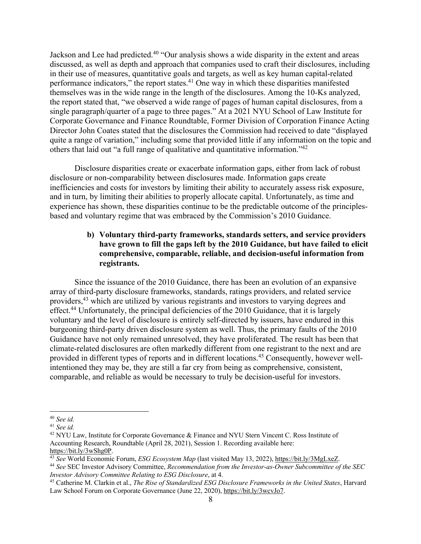Jackson and Lee had predicted.<sup>40</sup> "Our analysis shows a wide disparity in the extent and areas discussed, as well as depth and approach that companies used to craft their disclosures, including in their use of measures, quantitative goals and targets, as well as key human capital-related performance indicators," the report states.41 One way in which these disparities manifested themselves was in the wide range in the length of the disclosures. Among the 10-Ks analyzed, the report stated that, "we observed a wide range of pages of human capital disclosures, from a single paragraph/quarter of a page to three pages." At a 2021 NYU School of Law Institute for Corporate Governance and Finance Roundtable, Former Division of Corporation Finance Acting Director John Coates stated that the disclosures the Commission had received to date "displayed quite a range of variation," including some that provided little if any information on the topic and others that laid out "a full range of qualitative and quantitative information."42

Disclosure disparities create or exacerbate information gaps, either from lack of robust disclosure or non-comparability between disclosures made. Information gaps create inefficiencies and costs for investors by limiting their ability to accurately assess risk exposure, and in turn, by limiting their abilities to properly allocate capital. Unfortunately, as time and experience has shown, these disparities continue to be the predictable outcome of the principlesbased and voluntary regime that was embraced by the Commission's 2010 Guidance.

# **b) Voluntary third-party frameworks, standards setters, and service providers have grown to fill the gaps left by the 2010 Guidance, but have failed to elicit comprehensive, comparable, reliable, and decision-useful information from registrants.**

Since the issuance of the 2010 Guidance, there has been an evolution of an expansive array of third-party disclosure frameworks, standards, ratings providers, and related service providers,43 which are utilized by various registrants and investors to varying degrees and effect.44 Unfortunately, the principal deficiencies of the 2010 Guidance, that it is largely voluntary and the level of disclosure is entirely self-directed by issuers, have endured in this burgeoning third-party driven disclosure system as well. Thus, the primary faults of the 2010 Guidance have not only remained unresolved, they have proliferated. The result has been that climate-related disclosures are often markedly different from one registrant to the next and are provided in different types of reports and in different locations.<sup>45</sup> Consequently, however wellintentioned they may be, they are still a far cry from being as comprehensive, consistent, comparable, and reliable as would be necessary to truly be decision-useful for investors.

<sup>40</sup> *See id.*

<sup>41</sup> *See id.*

<sup>&</sup>lt;sup>42</sup> NYU Law, Institute for Corporate Governance & Finance and NYU Stern Vincent C. Ross Institute of Accounting Research, Roundtable (April 28, 2021), Session 1. Recording available here:

https://bit.ly/3wShg0P.<br><sup>43</sup> See World Economic Forum, *ESG Ecosystem Map* (last visited May 13, 2022), https://bit.ly/3MgLxeZ.<br><sup>44</sup> See SEC Investor Advisory Committee, *Recommendation from the Investor-as-Owner Subcommit* 

*Investor Advisory Committee Relating to ESG Disclosure*, at 4.

<sup>45</sup> Catherine M. Clarkin et al., *The Rise of Standardized ESG Disclosure Frameworks in the United States*, Harvard Law School Forum on Corporate Governance (June 22, 2020), https://bit.ly/3wcvJo7.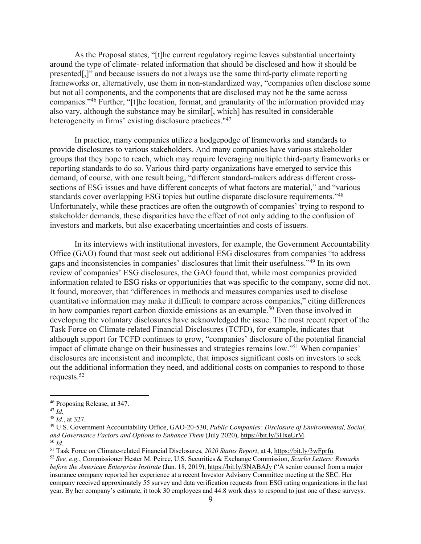As the Proposal states, "[t]he current regulatory regime leaves substantial uncertainty around the type of climate- related information that should be disclosed and how it should be presented[,]" and because issuers do not always use the same third-party climate reporting frameworks or, alternatively, use them in non-standardized way, "companies often disclose some but not all components, and the components that are disclosed may not be the same across companies."46 Further, "[t]he location, format, and granularity of the information provided may also vary, although the substance may be similar[, which] has resulted in considerable heterogeneity in firms' existing disclosure practices."<sup>47</sup>

In practice, many companies utilize a hodgepodge of frameworks and standards to provide disclosures to various stakeholders. And many companies have various stakeholder groups that they hope to reach, which may require leveraging multiple third-party frameworks or reporting standards to do so. Various third-party organizations have emerged to service this demand, of course, with one result being, "different standard-makers address different crosssections of ESG issues and have different concepts of what factors are material," and "various standards cover overlapping ESG topics but outline disparate disclosure requirements."48 Unfortunately, while these practices are often the outgrowth of companies' trying to respond to stakeholder demands, these disparities have the effect of not only adding to the confusion of investors and markets, but also exacerbating uncertainties and costs of issuers.

In its interviews with institutional investors, for example, the Government Accountability Office (GAO) found that most seek out additional ESG disclosures from companies "to address gaps and inconsistencies in companies' disclosures that limit their usefulness."49 In its own review of companies' ESG disclosures, the GAO found that, while most companies provided information related to ESG risks or opportunities that was specific to the company, some did not. It found, moreover, that "differences in methods and measures companies used to disclose quantitative information may make it difficult to compare across companies," citing differences in how companies report carbon dioxide emissions as an example.<sup>50</sup> Even those involved in developing the voluntary disclosures have acknowledged the issue. The most recent report of the Task Force on Climate-related Financial Disclosures (TCFD), for example, indicates that although support for TCFD continues to grow, "companies' disclosure of the potential financial impact of climate change on their businesses and strategies remains low."51 When companies' disclosures are inconsistent and incomplete, that imposes significant costs on investors to seek out the additional information they need, and additional costs on companies to respond to those requests.52

<sup>46</sup> Proposing Release, at 347.

<sup>47</sup> *Id.*

<sup>48</sup> *Id.*, at 327.

<sup>49</sup> U.S. Government Accountability Office, GAO-20-530, *Public Companies: Disclosure of Environmental, Social, and Governance Factors and Options to Enhance Them* (July 2020), https://bit.ly/3HxeUrM.<br><sup>50</sup> *Id.*<br><sup>51</sup> Task Force on Climate-related Financial Disclosures, 2020 Status Report, at 4, https://bit.ly/3wFprfu.

<sup>&</sup>lt;sup>52</sup> See, e.g., Commissioner Hester M. Peirce, U.S. Securities & Exchange Commission, Scarlet Letters: Remarks *before the American Enterprise Institute* (Jun. 18, 2019), https://bit.ly/3NABAJy ("A senior counsel from a major insurance company reported her experience at a recent Investor Advisory Committee meeting at the SEC. Her company received approximately 55 survey and data verification requests from ESG rating organizations in the last year. By her company's estimate, it took 30 employees and 44.8 work days to respond to just one of these surveys.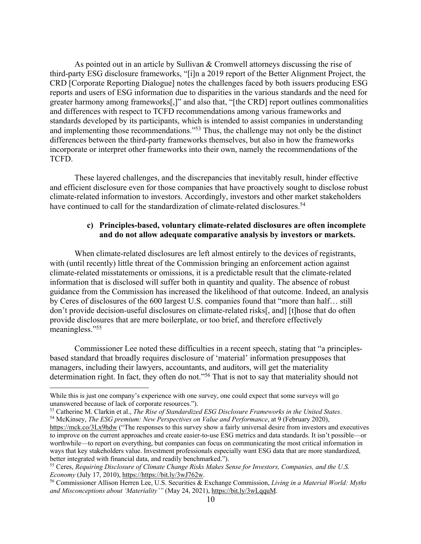As pointed out in an article by Sullivan & Cromwell attorneys discussing the rise of third-party ESG disclosure frameworks, "[i]n a 2019 report of the Better Alignment Project, the CRD [Corporate Reporting Dialogue] notes the challenges faced by both issuers producing ESG reports and users of ESG information due to disparities in the various standards and the need for greater harmony among frameworks[,]" and also that, "[the CRD] report outlines commonalities and differences with respect to TCFD recommendations among various frameworks and standards developed by its participants, which is intended to assist companies in understanding and implementing those recommendations."<sup>53</sup> Thus, the challenge may not only be the distinct differences between the third-party frameworks themselves, but also in how the frameworks incorporate or interpret other frameworks into their own, namely the recommendations of the TCFD.

These layered challenges, and the discrepancies that inevitably result, hinder effective and efficient disclosure even for those companies that have proactively sought to disclose robust climate-related information to investors. Accordingly, investors and other market stakeholders have continued to call for the standardization of climate-related disclosures.<sup>54</sup>

### **c) Principles-based, voluntary climate-related disclosures are often incomplete and do not allow adequate comparative analysis by investors or markets.**

When climate-related disclosures are left almost entirely to the devices of registrants, with (until recently) little threat of the Commission bringing an enforcement action against climate-related misstatements or omissions, it is a predictable result that the climate-related information that is disclosed will suffer both in quantity and quality. The absence of robust guidance from the Commission has increased the likelihood of that outcome. Indeed, an analysis by Ceres of disclosures of the 600 largest U.S. companies found that "more than half… still don't provide decision-useful disclosures on climate-related risks[, and] [t]hose that do often provide disclosures that are mere boilerplate, or too brief, and therefore effectively meaningless."<sup>55</sup>

Commissioner Lee noted these difficulties in a recent speech, stating that "a principlesbased standard that broadly requires disclosure of 'material' information presupposes that managers, including their lawyers, accountants, and auditors, will get the materiality determination right. In fact, they often do not."56 That is not to say that materiality should not

While this is just one company's experience with one survey, one could expect that some surveys will go unanswered because of lack of corporate resources.").

<sup>53</sup> Catherine M. Clarkin et al., *The Rise of Standardized ESG Disclosure Frameworks in the United States*. 54 McKinsey, *The ESG premium: New Perspectives on Value and Performance*, at 9 (February 2020),

https://mck.co/3Lx9hdw ("The responses to this survey show a fairly universal desire from investors and executives to improve on the current approaches and create easier-to-use ESG metrics and data standards. It isn't possible—or worthwhile—to report on everything, but companies can focus on communicating the most critical information in ways that key stakeholders value. Investment professionals especially want ESG data that are more standardized, better integrated with financial data, and readily benchmarked.").

<sup>55</sup> Ceres, *Requiring Disclosure of Climate Change Risks Makes Sense for Investors, Companies, and the U.S. Economy* (July 17, 2010), https://https://bit.ly/3wJ762w.

<sup>56</sup> Commissioner Allison Herren Lee, U.S. Securities & Exchange Commission, *Living in a Material World: Myths and Misconceptions about 'Materiality'"* (May 24, 2021), https://bit.ly/3wLqquM.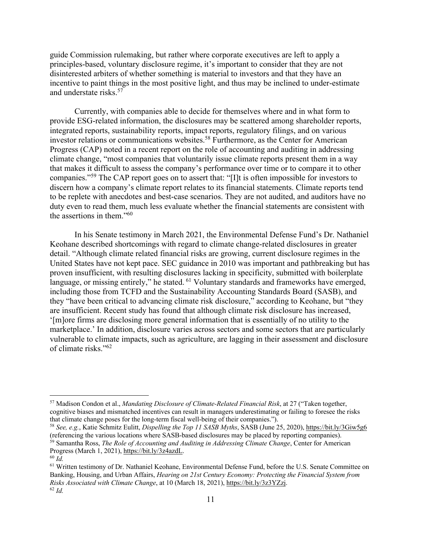guide Commission rulemaking, but rather where corporate executives are left to apply a principles-based, voluntary disclosure regime, it's important to consider that they are not disinterested arbiters of whether something is material to investors and that they have an incentive to paint things in the most positive light, and thus may be inclined to under-estimate and understate risks.57

Currently, with companies able to decide for themselves where and in what form to provide ESG-related information, the disclosures may be scattered among shareholder reports, integrated reports, sustainability reports, impact reports, regulatory filings, and on various investor relations or communications websites.<sup>58</sup> Furthermore, as the Center for American Progress (CAP) noted in a recent report on the role of accounting and auditing in addressing climate change, "most companies that voluntarily issue climate reports present them in a way that makes it difficult to assess the company's performance over time or to compare it to other companies."59 The CAP report goes on to assert that: "[I]t is often impossible for investors to discern how a company's climate report relates to its financial statements. Climate reports tend to be replete with anecdotes and best-case scenarios. They are not audited, and auditors have no duty even to read them, much less evaluate whether the financial statements are consistent with the assertions in them."60

In his Senate testimony in March 2021, the Environmental Defense Fund's Dr. Nathaniel Keohane described shortcomings with regard to climate change-related disclosures in greater detail. "Although climate related financial risks are growing, current disclosure regimes in the United States have not kept pace. SEC guidance in 2010 was important and pathbreaking but has proven insufficient, with resulting disclosures lacking in specificity, submitted with boilerplate language, or missing entirely," he stated. <sup>61</sup> Voluntary standards and frameworks have emerged, including those from TCFD and the Sustainability Accounting Standards Board (SASB), and they "have been critical to advancing climate risk disclosure," according to Keohane, but "they are insufficient. Recent study has found that although climate risk disclosure has increased, '[m]ore firms are disclosing more general information that is essentially of no utility to the marketplace.' In addition, disclosure varies across sectors and some sectors that are particularly vulnerable to climate impacts, such as agriculture, are lagging in their assessment and disclosure of climate risks."62

<sup>57</sup> Madison Condon et al., *Mandating Disclosure of Climate-Related Financial Risk*, at 27 ("Taken together, cognitive biases and mismatched incentives can result in managers underestimating or failing to foresee the risks that climate change poses for the long-term fiscal well-being of their companies.").

<sup>58</sup> *See, e.g.*, Katie Schmitz Eulitt, *Dispelling the Top 11 SASB Myths*, SASB (June 25, 2020), https://bit.ly/3Giw5g6 (referencing the various locations where SASB-based disclosures may be placed by reporting companies). <sup>59</sup> Samantha Ross, *The Role of Accounting and Auditing in Addressing Climate Change*, Center for American

Progress (March 1, 2021), https://bit.ly/3z4azdL.

<sup>60</sup> *Id.*

<sup>&</sup>lt;sup>61</sup> Written testimony of Dr. Nathaniel Keohane, Environmental Defense Fund, before the U.S. Senate Committee on Banking, Housing, and Urban Affairs, *Hearing on 21st Century Economy: Protecting the Financial System from Risks Associated with Climate Change*, at 10 (March 18, 2021), https://bit.ly/3z3YZzj. 62 *Id.*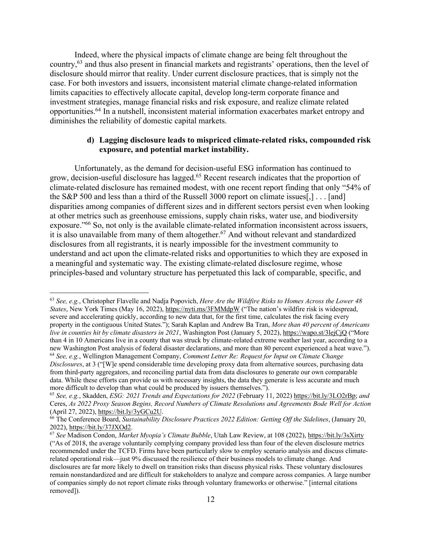Indeed, where the physical impacts of climate change are being felt throughout the country,63 and thus also present in financial markets and registrants' operations, then the level of disclosure should mirror that reality. Under current disclosure practices, that is simply not the case. For both investors and issuers, inconsistent material climate change-related information limits capacities to effectively allocate capital, develop long-term corporate finance and investment strategies, manage financial risks and risk exposure, and realize climate related opportunities.64 In a nutshell, inconsistent material information exacerbates market entropy and diminishes the reliability of domestic capital markets.

### **d) Lagging disclosure leads to mispriced climate-related risks, compounded risk exposure, and potential market instability.**

Unfortunately, as the demand for decision-useful ESG information has continued to grow, decision-useful disclosure has lagged.65 Recent research indicates that the proportion of climate-related disclosure has remained modest, with one recent report finding that only "54% of the S&P 500 and less than a third of the Russell 3000 report on climate issues[,] . . . [and] disparities among companies of different sizes and in different sectors persist even when looking at other metrics such as greenhouse emissions, supply chain risks, water use, and biodiversity exposure."66 So, not only is the available climate-related information inconsistent across issuers, it is also unavailable from many of them altogether.67 And without relevant and standardized disclosures from all registrants, it is nearly impossible for the investment community to understand and act upon the climate-related risks and opportunities to which they are exposed in a meaningful and systematic way. The existing climate-related disclosure regime, whose principles-based and voluntary structure has perpetuated this lack of comparable, specific, and

<sup>63</sup> *See, e.g.*, Christopher Flavelle and Nadja Popovich, *Here Are the Wildfire Risks to Homes Across the Lower 48 States*, New York Times (May 16, 2022), https://nyti.ms/3FMMdpW ("The nation's wildfire risk is widespread, severe and accelerating quickly, according to new data that, for the first time, calculates the risk facing every property in the contiguous United States."); Sarah Kaplan and Andrew Ba Tran, *More than 40 percent of Americans live in counties hit by climate disasters in 2021*, Washington Post (January 5, 2022), https://wapo.st/3lejCjQ ("More than 4 in 10 Americans live in a county that was struck by climate-related extreme weather last year, according to a new Washington Post analysis of federal disaster declarations, and more than 80 percent experienced a heat wave.").<br><sup>64</sup> See, e.g., Wellington Management Company, *Comment Letter Re: Request for Input on Climate Change Disclosures*, at 3 ("[W]e spend considerable time developing proxy data from alternative sources, purchasing data from third-party aggregators, and reconciling partial data from data disclosures to generate our own comparable data. While these efforts can provide us with necessary insights, the data they generate is less accurate and much more difficult to develop than what could be produced by issuers themselves.").

<sup>65</sup> *See, e.g.*, Skadden, *ESG: 2021 Trends and Expectations for 2022* (February 11, 2022) https://bit.ly/3LO2rBp; *and* Ceres, *As 2022 Proxy Season Begins, Record Numbers of Climate Resolutions and Agreements Bode Well for Action* (April 27, 2022), https://bit.ly/3yGCu2U.

<sup>66</sup> The Conference Board, *Sustainability Disclosure Practices 2022 Edition: Getting Off the Sidelines*, (January 20, 2022), https://bit.ly/37JXOd2.

<sup>67</sup> *See* Madison Condon, *Market Myopia's Climate Bubble*, Utah Law Review, at 108 (2022), https://bit.ly/3sXirty ("As of 2018, the average voluntarily complying company provided less than four of the eleven disclosure metrics recommended under the TCFD. Firms have been particularly slow to employ scenario analysis and discuss climaterelated operational risk—just 9% discussed the resilience of their business models to climate change. And disclosures are far more likely to dwell on transition risks than discuss physical risks. These voluntary disclosures remain nonstandardized and are difficult for stakeholders to analyze and compare across companies. A large number of companies simply do not report climate risks through voluntary frameworks or otherwise." [internal citations removed]).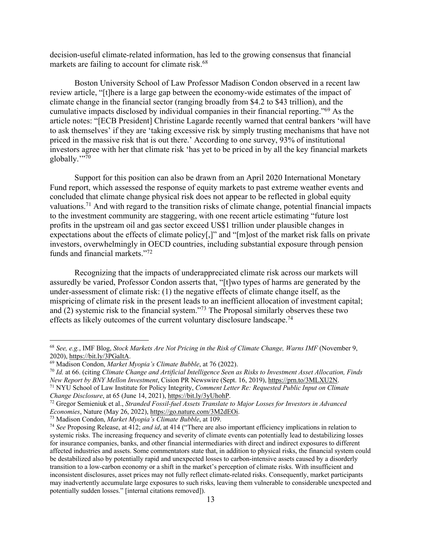decision-useful climate-related information, has led to the growing consensus that financial markets are failing to account for climate risk.<sup>68</sup>

Boston University School of Law Professor Madison Condon observed in a recent law review article, "[t]here is a large gap between the economy-wide estimates of the impact of climate change in the financial sector (ranging broadly from \$4.2 to \$43 trillion), and the cumulative impacts disclosed by individual companies in their financial reporting."69 As the article notes: "[ECB President] Christine Lagarde recently warned that central bankers 'will have to ask themselves' if they are 'taking excessive risk by simply trusting mechanisms that have not priced in the massive risk that is out there.' According to one survey, 93% of institutional investors agree with her that climate risk 'has yet to be priced in by all the key financial markets globally."??

Support for this position can also be drawn from an April 2020 International Monetary Fund report, which assessed the response of equity markets to past extreme weather events and concluded that climate change physical risk does not appear to be reflected in global equity valuations.71 And with regard to the transition risks of climate change, potential financial impacts to the investment community are staggering, with one recent article estimating "future lost profits in the upstream oil and gas sector exceed US\$1 trillion under plausible changes in expectations about the effects of climate policy[,]" and "[m]ost of the market risk falls on private investors, overwhelmingly in OECD countries, including substantial exposure through pension funds and financial markets."72

Recognizing that the impacts of underappreciated climate risk across our markets will assuredly be varied, Professor Condon asserts that, "[t]wo types of harms are generated by the under-assessment of climate risk: (1) the negative effects of climate change itself, as the mispricing of climate risk in the present leads to an inefficient allocation of investment capital; and (2) systemic risk to the financial system."73 The Proposal similarly observes these two effects as likely outcomes of the current voluntary disclosure landscape.<sup>74</sup>

<sup>68</sup> *See, e.g.*, IMF Blog, *Stock Markets Are Not Pricing in the Risk of Climate Change, Warns IMF* (November 9,

<sup>&</sup>lt;sup>69</sup> Madison Condon, *Market Myopia's Climate Bubble*, at 76 (2022).

<sup>70</sup> *Id.* at 66. (citing *Climate Change and Artificial Intelligence Seen as Risks to Investment Asset Allocation, Finds* 

*New Report by BNY Mellon Investment*, Cision PR Newswire (Sept. 16, 2019), <u>https://prn.to/3MLXU2N.</u><br><sup>71</sup> NYU School of Law Institute for Policy Integrity, *Comment Letter Re: Requested Public Input on Climate Change Disc* 

<sup>&</sup>lt;sup>72</sup> Gregor Semieniuk et al., *Stranded Fossil-fuel Assets Translate to Major Losses for Investors in Advanced Economies*, Nature (May 26, 2022), https://go.nature.com/3M2dEOi. 73 Madison Condon, *Market Myopia's Climate Bubble*, at 109.

<sup>74</sup> *See* Proposing Release, at 412; *and id*, at 414 ("There are also important efficiency implications in relation to systemic risks. The increasing frequency and severity of climate events can potentially lead to destabilizing losses for insurance companies, banks, and other financial intermediaries with direct and indirect exposures to different affected industries and assets. Some commentators state that, in addition to physical risks, the financial system could be destabilized also by potentially rapid and unexpected losses to carbon-intensive assets caused by a disorderly transition to a low-carbon economy or a shift in the market's perception of climate risks. With insufficient and inconsistent disclosures, asset prices may not fully reflect climate-related risks. Consequently, market participants may inadvertently accumulate large exposures to such risks, leaving them vulnerable to considerable unexpected and potentially sudden losses." [internal citations removed]).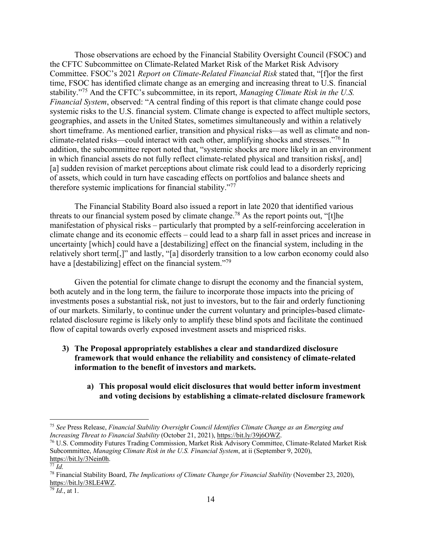Those observations are echoed by the Financial Stability Oversight Council (FSOC) and the CFTC Subcommittee on Climate-Related Market Risk of the Market Risk Advisory Committee. FSOC's 2021 *Report on Climate-Related Financial Risk* stated that, "[f]or the first time, FSOC has identified climate change as an emerging and increasing threat to U.S. financial stability."75 And the CFTC's subcommittee, in its report, *Managing Climate Risk in the U.S. Financial System*, observed: "A central finding of this report is that climate change could pose systemic risks to the U.S. financial system. Climate change is expected to affect multiple sectors, geographies, and assets in the United States, sometimes simultaneously and within a relatively short timeframe. As mentioned earlier, transition and physical risks—as well as climate and nonclimate-related risks—could interact with each other, amplifying shocks and stresses."76 In addition, the subcommittee report noted that, "systemic shocks are more likely in an environment in which financial assets do not fully reflect climate-related physical and transition risks[, and] [a] sudden revision of market perceptions about climate risk could lead to a disorderly repricing of assets, which could in turn have cascading effects on portfolios and balance sheets and therefore systemic implications for financial stability."77

The Financial Stability Board also issued a report in late 2020 that identified various threats to our financial system posed by climate change.<sup>78</sup> As the report points out, "[t]he manifestation of physical risks – particularly that prompted by a self-reinforcing acceleration in climate change and its economic effects – could lead to a sharp fall in asset prices and increase in uncertainty [which] could have a [destabilizing] effect on the financial system, including in the relatively short term[,]" and lastly, "[a] disorderly transition to a low carbon economy could also have a [destabilizing] effect on the financial system."<sup>79</sup>

Given the potential for climate change to disrupt the economy and the financial system, both acutely and in the long term, the failure to incorporate those impacts into the pricing of investments poses a substantial risk, not just to investors, but to the fair and orderly functioning of our markets. Similarly, to continue under the current voluntary and principles-based climaterelated disclosure regime is likely only to amplify these blind spots and facilitate the continued flow of capital towards overly exposed investment assets and mispriced risks.

- **3) The Proposal appropriately establishes a clear and standardized disclosure framework that would enhance the reliability and consistency of climate-related information to the benefit of investors and markets.**
	- **a) This proposal would elicit disclosures that would better inform investment and voting decisions by establishing a climate-related disclosure framework**

<sup>75</sup> *See* Press Release, *Financial Stability Oversight Council Identifies Climate Change as an Emerging and Increasing Threat to Financial Stability* (October 21, 2021), https://bit.ly/39j6OWZ.

<sup>76</sup> U.S. Commodity Futures Trading Commission, Market Risk Advisory Committee, Climate-Related Market Risk Subcommittee, *Managing Climate Risk in the U.S. Financial System*, at ii (September 9, 2020), https://bit.ly/3Nein0h.

<sup>77</sup> *Id.*

<sup>78</sup> Financial Stability Board, *The Implications of Climate Change for Financial Stability* (November 23, 2020), https://bit.ly/38LE4WZ.

<sup>79</sup> *Id.*, at 1.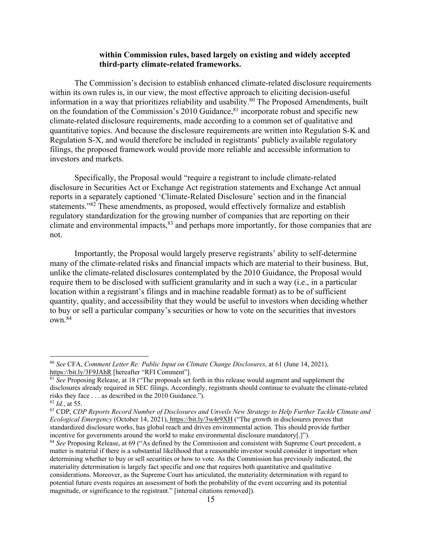### **within Commission rules, based largely on existing and widely accepted third-party climate-related frameworks.**

The Commission's decision to establish enhanced climate-related disclosure requirements within its own rules is, in our view, the most effective approach to eliciting decision-useful information in a way that prioritizes reliability and usability.<sup>80</sup> The Proposed Amendments, built on the foundation of the Commission's 2010 Guidance,  $81$  incorporate robust and specific new climate-related disclosure requirements, made according to a common set of qualitative and quantitative topics. And because the disclosure requirements are written into Regulation S-K and Regulation S-X, and would therefore be included in registrants' publicly available regulatory filings, the proposed framework would provide more reliable and accessible information to investors and markets.

Specifically, the Proposal would "require a registrant to include climate-related disclosure in Securities Act or Exchange Act registration statements and Exchange Act annual reports in a separately captioned 'Climate-Related Disclosure' section and in the financial statements."82 These amendments, as proposed, would effectively formalize and establish regulatory standardization for the growing number of companies that are reporting on their climate and environmental impacts,<sup>83</sup> and perhaps more importantly, for those companies that are not.

Importantly, the Proposal would largely preserve registrants' ability to self-determine many of the climate-related risks and financial impacts which are material to their business. But, unlike the climate-related disclosures contemplated by the 2010 Guidance, the Proposal would require them to be disclosed with sufficient granularity and in such a way (i.e., in a particular location within a registrant's filings and in machine readable format) as to be of sufficient quantity, quality, and accessibility that they would be useful to investors when deciding whether to buy or sell a particular company's securities or how to vote on the securities that investors own.84

<sup>80</sup> *See* CFA, *Comment Letter Re: Public Input on Climate Change Disclosures*, at 61 (June 14, 2021), https://bit.ly/3F9JAhR [hereafter "RFI Comment"].

<sup>&</sup>lt;sup>81</sup> See Proposing Release, at 18 ("The proposals set forth in this release would augment and supplement the disclosures already required in SEC filings. Accordingly, registrants should continue to evaluate the climate-related risks they face . . . as described in the 2010 Guidance.").

<sup>82</sup> *Id.*, at 55.

<sup>83</sup> CDP, *CDP Reports Record Number of Disclosures and Unveils New Strategy to Help Further Tackle Climate and Ecological Emergency* (October 14, 2021), https://bit.ly/3w4r9XH ("The growth in disclosures proves that standardized disclosure works, has global reach and drives environmental action. This should provide further incentive for governments around the world to make environmental disclosure mandatory[.]").

<sup>&</sup>lt;sup>84</sup> *See* Proposing Release, at 69 ("As defined by the Commission and consistent with Supreme Court precedent, a matter is material if there is a substantial likelihood that a reasonable investor would consider it important when determining whether to buy or sell securities or how to vote. As the Commission has previously indicated, the materiality determination is largely fact specific and one that requires both quantitative and qualitative considerations. Moreover, as the Supreme Court has articulated, the materiality determination with regard to potential future events requires an assessment of both the probability of the event occurring and its potential magnitude, or significance to the registrant." [internal citations removed]).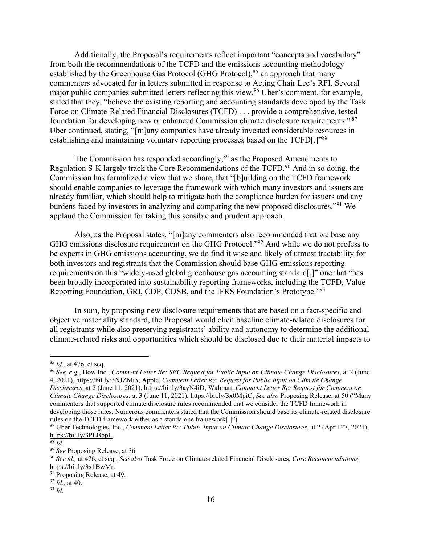Additionally, the Proposal's requirements reflect important "concepts and vocabulary" from both the recommendations of the TCFD and the emissions accounting methodology established by the Greenhouse Gas Protocol (GHG Protocol),  $85$  an approach that many commenters advocated for in letters submitted in response to Acting Chair Lee's RFI. Several major public companies submitted letters reflecting this view.86 Uber's comment, for example, stated that they, "believe the existing reporting and accounting standards developed by the Task Force on Climate-Related Financial Disclosures (TCFD) . . . provide a comprehensive, tested foundation for developing new or enhanced Commission climate disclosure requirements." <sup>87</sup> Uber continued, stating, "[m]any companies have already invested considerable resources in establishing and maintaining voluntary reporting processes based on the TCFD[.]"<sup>88</sup>

The Commission has responded accordingly,<sup>89</sup> as the Proposed Amendments to Regulation S-K largely track the Core Recommendations of the TCFD.<sup>90</sup> And in so doing, the Commission has formalized a view that we share, that "[b]uilding on the TCFD framework should enable companies to leverage the framework with which many investors and issuers are already familiar, which should help to mitigate both the compliance burden for issuers and any burdens faced by investors in analyzing and comparing the new proposed disclosures."91 We applaud the Commission for taking this sensible and prudent approach.

Also, as the Proposal states, "[m]any commenters also recommended that we base any GHG emissions disclosure requirement on the GHG Protocol."92 And while we do not profess to be experts in GHG emissions accounting, we do find it wise and likely of utmost tractability for both investors and registrants that the Commission should base GHG emissions reporting requirements on this "widely-used global greenhouse gas accounting standard[,]" one that "has been broadly incorporated into sustainability reporting frameworks, including the TCFD, Value Reporting Foundation, GRI, CDP, CDSB, and the IFRS Foundation's Prototype."93

In sum, by proposing new disclosure requirements that are based on a fact-specific and objective materiality standard, the Proposal would elicit baseline climate-related disclosures for all registrants while also preserving registrants' ability and autonomy to determine the additional climate-related risks and opportunities which should be disclosed due to their material impacts to

<sup>&</sup>lt;sup>85</sup> *Id.*, at 476, et seq.<br><sup>86</sup> *See, e.g.*, Dow Inc., *Comment Letter Re: SEC Request for Public Input on Climate Change Disclosures*, at 2 (June 4, 2021), https://bit.ly/3NJZMt5; Apple, *Comment Letter Re: Request for Public Input on Climate Change Disclosures*, at 2 (June 11, 2021), https://bit.ly/3ayN4iD; Walmart, *Comment Letter Re: Request for Comment on Climate Change Disclosures*, at 3 (June 11, 2021), https://bit.ly/3x0MpiC; *See also* Proposing Release, at 50 ("Many commenters that supported climate disclosure rules recommended that we consider the TCFD framework in developing those rules. Numerous commenters stated that the Commission should base its climate-related disclosure rules on the TCFD framework either as a standalone framework[.]").

<sup>87</sup> Uber Technologies, Inc., *Comment Letter Re: Public Input on Climate Change Disclosures*, at 2 (April 27, 2021), https://bit.ly/3PLBbpL. 88 *Id.*

<sup>89</sup> *See* Proposing Release, at 36.

<sup>90</sup> *See id.,* at 476, et seq.; *See also* Task Force on Climate-related Financial Disclosures, *Core Recommendations*, https://bit.ly/3x1BwMr.<br><sup>91</sup> Proposing Release, at 49.

 $92$  *Id.*, at 40.

<sup>93</sup> *Id.*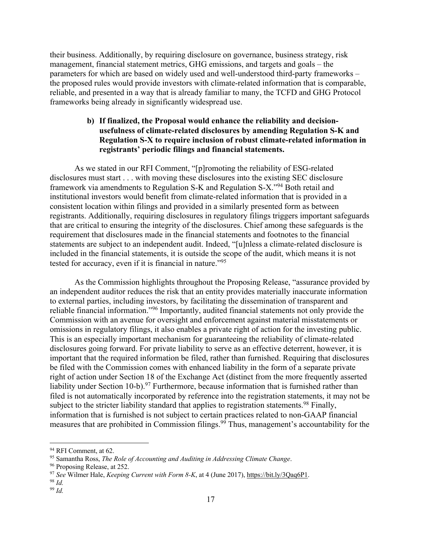their business. Additionally, by requiring disclosure on governance, business strategy, risk management, financial statement metrics, GHG emissions, and targets and goals – the parameters for which are based on widely used and well-understood third-party frameworks – the proposed rules would provide investors with climate-related information that is comparable, reliable, and presented in a way that is already familiar to many, the TCFD and GHG Protocol frameworks being already in significantly widespread use.

# **b) If finalized, the Proposal would enhance the reliability and decisionusefulness of climate-related disclosures by amending Regulation S-K and Regulation S-X to require inclusion of robust climate-related information in registrants' periodic filings and financial statements.**

As we stated in our RFI Comment, "[p]romoting the reliability of ESG-related disclosures must start . . . with moving these disclosures into the existing SEC disclosure framework via amendments to Regulation S-K and Regulation S-X."94 Both retail and institutional investors would benefit from climate-related information that is provided in a consistent location within filings and provided in a similarly presented form as between registrants. Additionally, requiring disclosures in regulatory filings triggers important safeguards that are critical to ensuring the integrity of the disclosures. Chief among these safeguards is the requirement that disclosures made in the financial statements and footnotes to the financial statements are subject to an independent audit. Indeed, "[u]nless a climate-related disclosure is included in the financial statements, it is outside the scope of the audit, which means it is not tested for accuracy, even if it is financial in nature."<sup>95</sup>

As the Commission highlights throughout the Proposing Release, "assurance provided by an independent auditor reduces the risk that an entity provides materially inaccurate information to external parties, including investors, by facilitating the dissemination of transparent and reliable financial information."96 Importantly, audited financial statements not only provide the Commission with an avenue for oversight and enforcement against material misstatements or omissions in regulatory filings, it also enables a private right of action for the investing public. This is an especially important mechanism for guaranteeing the reliability of climate-related disclosures going forward. For private liability to serve as an effective deterrent, however, it is important that the required information be filed, rather than furnished. Requiring that disclosures be filed with the Commission comes with enhanced liability in the form of a separate private right of action under Section 18 of the Exchange Act (distinct from the more frequently asserted liability under Section 10-b).<sup>97</sup> Furthermore, because information that is furnished rather than filed is not automatically incorporated by reference into the registration statements, it may not be subject to the stricter liability standard that applies to registration statements.<sup>98</sup> Finally, information that is furnished is not subject to certain practices related to non-GAAP financial measures that are prohibited in Commission filings.<sup>99</sup> Thus, management's accountability for the

<sup>&</sup>lt;sup>94</sup> RFI Comment, at 62.

<sup>95</sup> Samantha Ross, *The Role of Accounting and Auditing in Addressing Climate Change*.

<sup>&</sup>lt;sup>96</sup> Proposing Release, at 252.

<sup>97</sup> *See* Wilmer Hale, *Keeping Current with Form 8-K*, at 4 (June 2017), https://bit.ly/3Qaq6P1.

<sup>98</sup> *Id.*

<sup>99</sup> *Id.*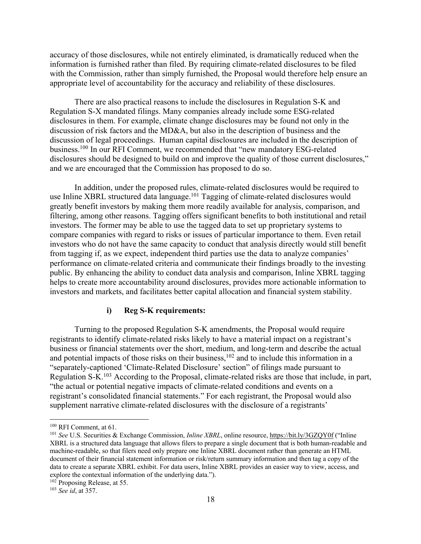accuracy of those disclosures, while not entirely eliminated, is dramatically reduced when the information is furnished rather than filed. By requiring climate-related disclosures to be filed with the Commission, rather than simply furnished, the Proposal would therefore help ensure an appropriate level of accountability for the accuracy and reliability of these disclosures.

There are also practical reasons to include the disclosures in Regulation S-K and Regulation S-X mandated filings. Many companies already include some ESG-related disclosures in them. For example, climate change disclosures may be found not only in the discussion of risk factors and the MD&A, but also in the description of business and the discussion of legal proceedings. Human capital disclosures are included in the description of business.100 In our RFI Comment, we recommended that "new mandatory ESG-related disclosures should be designed to build on and improve the quality of those current disclosures," and we are encouraged that the Commission has proposed to do so.

In addition, under the proposed rules, climate-related disclosures would be required to use Inline XBRL structured data language.<sup>101</sup> Tagging of climate-related disclosures would greatly benefit investors by making them more readily available for analysis, comparison, and filtering, among other reasons. Tagging offers significant benefits to both institutional and retail investors. The former may be able to use the tagged data to set up proprietary systems to compare companies with regard to risks or issues of particular importance to them. Even retail investors who do not have the same capacity to conduct that analysis directly would still benefit from tagging if, as we expect, independent third parties use the data to analyze companies' performance on climate-related criteria and communicate their findings broadly to the investing public. By enhancing the ability to conduct data analysis and comparison, Inline XBRL tagging helps to create more accountability around disclosures, provides more actionable information to investors and markets, and facilitates better capital allocation and financial system stability.

#### **i) Reg S-K requirements:**

Turning to the proposed Regulation S-K amendments, the Proposal would require registrants to identify climate-related risks likely to have a material impact on a registrant's business or financial statements over the short, medium, and long-term and describe the actual and potential impacts of those risks on their business,  $102$  and to include this information in a "separately-captioned 'Climate-Related Disclosure' section" of filings made pursuant to Regulation S-K<sup>103</sup> According to the Proposal, climate-related risks are those that include, in part, "the actual or potential negative impacts of climate-related conditions and events on a registrant's consolidated financial statements." For each registrant, the Proposal would also supplement narrative climate-related disclosures with the disclosure of a registrants'

<sup>100</sup> RFI Comment, at 61.

<sup>101</sup> *See* U.S. Securities & Exchange Commission, *Inline XBRL*, online resource, https://bit.ly/3GZQY0f ("Inline XBRL is a structured data language that allows filers to prepare a single document that is both human-readable and machine-readable, so that filers need only prepare one Inline XBRL document rather than generate an HTML document of their financial statement information or risk/return summary information and then tag a copy of the data to create a separate XBRL exhibit. For data users, Inline XBRL provides an easier way to view, access, and explore the contextual information of the underlying data.").

<sup>102</sup> Proposing Release, at 55.

<sup>103</sup> *See id*, at 357.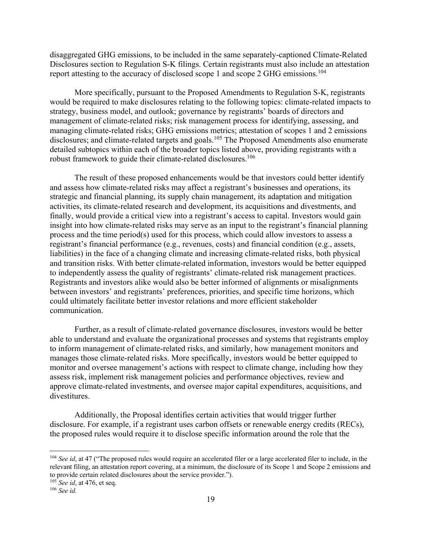disaggregated GHG emissions, to be included in the same separately-captioned Climate-Related Disclosures section to Regulation S-K filings. Certain registrants must also include an attestation report attesting to the accuracy of disclosed scope 1 and scope 2 GHG emissions.104

More specifically, pursuant to the Proposed Amendments to Regulation S-K, registrants would be required to make disclosures relating to the following topics: climate-related impacts to strategy, business model, and outlook; governance by registrants' boards of directors and management of climate-related risks; risk management process for identifying, assessing, and managing climate-related risks; GHG emissions metrics; attestation of scopes 1 and 2 emissions disclosures; and climate-related targets and goals.<sup>105</sup> The Proposed Amendments also enumerate detailed subtopics within each of the broader topics listed above, providing registrants with a robust framework to guide their climate-related disclosures.<sup>106</sup>

The result of these proposed enhancements would be that investors could better identify and assess how climate-related risks may affect a registrant's businesses and operations, its strategic and financial planning, its supply chain management, its adaptation and mitigation activities, its climate-related research and development, its acquisitions and divestments, and finally, would provide a critical view into a registrant's access to capital. Investors would gain insight into how climate-related risks may serve as an input to the registrant's financial planning process and the time period(s) used for this process, which could allow investors to assess a registrant's financial performance (e.g., revenues, costs) and financial condition (e.g., assets, liabilities) in the face of a changing climate and increasing climate-related risks, both physical and transition risks. With better climate-related information, investors would be better equipped to independently assess the quality of registrants' climate-related risk management practices. Registrants and investors alike would also be better informed of alignments or misalignments between investors' and registrants' preferences, priorities, and specific time horizons, which could ultimately facilitate better investor relations and more efficient stakeholder communication.

Further, as a result of climate-related governance disclosures, investors would be better able to understand and evaluate the organizational processes and systems that registrants employ to inform management of climate-related risks, and similarly, how management monitors and manages those climate-related risks. More specifically, investors would be better equipped to monitor and oversee management's actions with respect to climate change, including how they assess risk, implement risk management policies and performance objectives, review and approve climate-related investments, and oversee major capital expenditures, acquisitions, and divestitures.

Additionally, the Proposal identifies certain activities that would trigger further disclosure. For example, if a registrant uses carbon offsets or renewable energy credits (RECs), the proposed rules would require it to disclose specific information around the role that the

<sup>&</sup>lt;sup>104</sup> *See id*, at 47 ("The proposed rules would require an accelerated filer or a large accelerated filer to include, in the relevant filing, an attestation report covering, at a minimum, the disclosure of its Scope 1 and Scope 2 emissions and to provide certain related disclosures about the service provider.").

<sup>105</sup> *See id*, at 476, et seq.

<sup>106</sup> *See id.*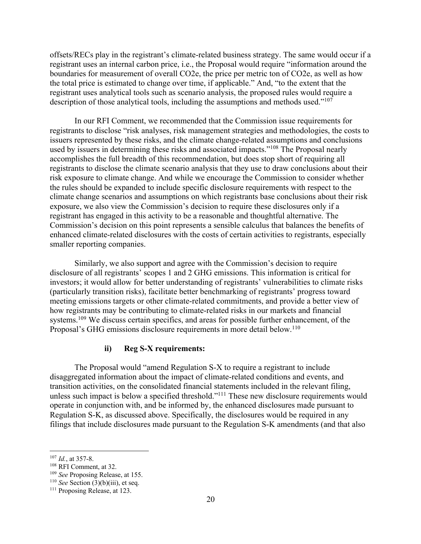offsets/RECs play in the registrant's climate-related business strategy. The same would occur if a registrant uses an internal carbon price, i.e., the Proposal would require "information around the boundaries for measurement of overall CO2e, the price per metric ton of CO2e, as well as how the total price is estimated to change over time, if applicable." And, "to the extent that the registrant uses analytical tools such as scenario analysis, the proposed rules would require a description of those analytical tools, including the assumptions and methods used."<sup>107</sup>

In our RFI Comment, we recommended that the Commission issue requirements for registrants to disclose "risk analyses, risk management strategies and methodologies, the costs to issuers represented by these risks, and the climate change-related assumptions and conclusions used by issuers in determining these risks and associated impacts."<sup>108</sup> The Proposal nearly accomplishes the full breadth of this recommendation, but does stop short of requiring all registrants to disclose the climate scenario analysis that they use to draw conclusions about their risk exposure to climate change. And while we encourage the Commission to consider whether the rules should be expanded to include specific disclosure requirements with respect to the climate change scenarios and assumptions on which registrants base conclusions about their risk exposure, we also view the Commission's decision to require these disclosures only if a registrant has engaged in this activity to be a reasonable and thoughtful alternative. The Commission's decision on this point represents a sensible calculus that balances the benefits of enhanced climate-related disclosures with the costs of certain activities to registrants, especially smaller reporting companies.

Similarly, we also support and agree with the Commission's decision to require disclosure of all registrants' scopes 1 and 2 GHG emissions. This information is critical for investors; it would allow for better understanding of registrants' vulnerabilities to climate risks (particularly transition risks), facilitate better benchmarking of registrants' progress toward meeting emissions targets or other climate-related commitments, and provide a better view of how registrants may be contributing to climate-related risks in our markets and financial systems.<sup>109</sup> We discuss certain specifics, and areas for possible further enhancement, of the Proposal's GHG emissions disclosure requirements in more detail below.<sup>110</sup>

#### **ii) Reg S-X requirements:**

The Proposal would "amend Regulation S-X to require a registrant to include disaggregated information about the impact of climate-related conditions and events, and transition activities, on the consolidated financial statements included in the relevant filing, unless such impact is below a specified threshold."<sup>111</sup> These new disclosure requirements would operate in conjunction with, and be informed by, the enhanced disclosures made pursuant to Regulation S-K, as discussed above. Specifically, the disclosures would be required in any filings that include disclosures made pursuant to the Regulation S-K amendments (and that also

<sup>107</sup> *Id.*, at 357-8.

<sup>108</sup> RFI Comment, at 32.

<sup>109</sup> *See* Proposing Release, at 155.

<sup>110</sup> *See* Section (3)(b)(iii), et seq.

<sup>&</sup>lt;sup>111</sup> Proposing Release, at 123.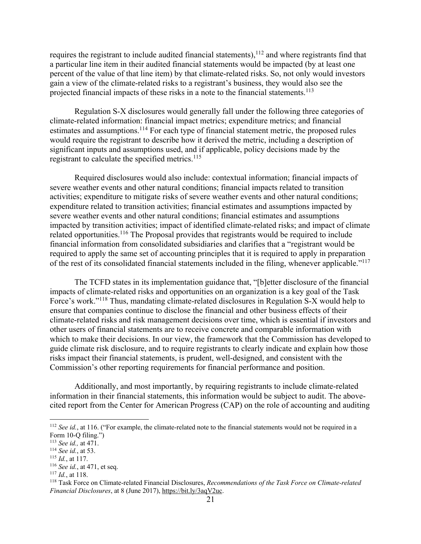requires the registrant to include audited financial statements),  $112$  and where registrants find that a particular line item in their audited financial statements would be impacted (by at least one percent of the value of that line item) by that climate-related risks. So, not only would investors gain a view of the climate-related risks to a registrant's business, they would also see the projected financial impacts of these risks in a note to the financial statements.113

Regulation S-X disclosures would generally fall under the following three categories of climate-related information: financial impact metrics; expenditure metrics; and financial estimates and assumptions.<sup>114</sup> For each type of financial statement metric, the proposed rules would require the registrant to describe how it derived the metric, including a description of significant inputs and assumptions used, and if applicable, policy decisions made by the registrant to calculate the specified metrics.<sup>115</sup>

Required disclosures would also include: contextual information; financial impacts of severe weather events and other natural conditions; financial impacts related to transition activities; expenditure to mitigate risks of severe weather events and other natural conditions; expenditure related to transition activities; financial estimates and assumptions impacted by severe weather events and other natural conditions; financial estimates and assumptions impacted by transition activities; impact of identified climate-related risks; and impact of climate related opportunities.<sup>116</sup> The Proposal provides that registrants would be required to include financial information from consolidated subsidiaries and clarifies that a "registrant would be required to apply the same set of accounting principles that it is required to apply in preparation of the rest of its consolidated financial statements included in the filing, whenever applicable."117

The TCFD states in its implementation guidance that, "[b]etter disclosure of the financial impacts of climate-related risks and opportunities on an organization is a key goal of the Task Force's work."118 Thus, mandating climate-related disclosures in Regulation S-X would help to ensure that companies continue to disclose the financial and other business effects of their climate-related risks and risk management decisions over time, which is essential if investors and other users of financial statements are to receive concrete and comparable information with which to make their decisions. In our view, the framework that the Commission has developed to guide climate risk disclosure, and to require registrants to clearly indicate and explain how those risks impact their financial statements, is prudent, well-designed, and consistent with the Commission's other reporting requirements for financial performance and position.

Additionally, and most importantly, by requiring registrants to include climate-related information in their financial statements, this information would be subject to audit. The abovecited report from the Center for American Progress (CAP) on the role of accounting and auditing

<sup>117</sup> *Id.*, at 118.

<sup>&</sup>lt;sup>112</sup> *See id.*, at 116. ("For example, the climate-related note to the financial statements would not be required in a Form 10-Q filing.")

<sup>113</sup> *See id.,* at 471.

<sup>114</sup> *See id.*, at 53.

<sup>115</sup> *Id.*, at 117.

<sup>116</sup> *See id.*, at 471, et seq.

<sup>118</sup> Task Force on Climate-related Financial Disclosures, *Recommendations of the Task Force on Climate-related Financial Disclosures*, at 8 (June 2017), https://bit.ly/3aqV2uc.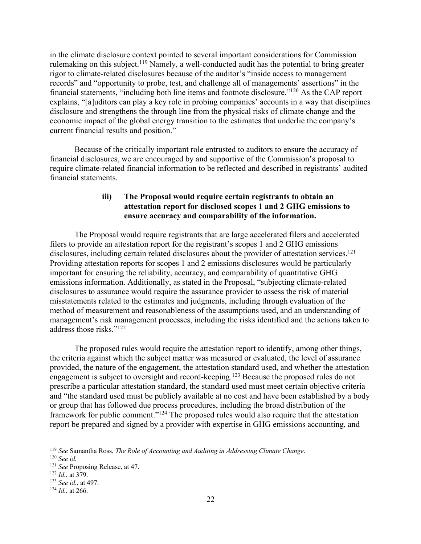in the climate disclosure context pointed to several important considerations for Commission rulemaking on this subject.<sup>119</sup> Namely, a well-conducted audit has the potential to bring greater rigor to climate-related disclosures because of the auditor's "inside access to management records" and "opportunity to probe, test, and challenge all of managements' assertions" in the financial statements, "including both line items and footnote disclosure."120 As the CAP report explains, "[a]uditors can play a key role in probing companies' accounts in a way that disciplines disclosure and strengthens the through line from the physical risks of climate change and the economic impact of the global energy transition to the estimates that underlie the company's current financial results and position."

Because of the critically important role entrusted to auditors to ensure the accuracy of financial disclosures, we are encouraged by and supportive of the Commission's proposal to require climate-related financial information to be reflected and described in registrants' audited financial statements.

## **iii) The Proposal would require certain registrants to obtain an attestation report for disclosed scopes 1 and 2 GHG emissions to ensure accuracy and comparability of the information.**

The Proposal would require registrants that are large accelerated filers and accelerated filers to provide an attestation report for the registrant's scopes 1 and 2 GHG emissions disclosures, including certain related disclosures about the provider of attestation services.<sup>121</sup> Providing attestation reports for scopes 1 and 2 emissions disclosures would be particularly important for ensuring the reliability, accuracy, and comparability of quantitative GHG emissions information. Additionally, as stated in the Proposal, "subjecting climate-related disclosures to assurance would require the assurance provider to assess the risk of material misstatements related to the estimates and judgments, including through evaluation of the method of measurement and reasonableness of the assumptions used, and an understanding of management's risk management processes, including the risks identified and the actions taken to address those risks."122

The proposed rules would require the attestation report to identify, among other things, the criteria against which the subject matter was measured or evaluated, the level of assurance provided, the nature of the engagement, the attestation standard used, and whether the attestation engagement is subject to oversight and record-keeping.123 Because the proposed rules do not prescribe a particular attestation standard, the standard used must meet certain objective criteria and "the standard used must be publicly available at no cost and have been established by a body or group that has followed due process procedures, including the broad distribution of the framework for public comment."124 The proposed rules would also require that the attestation report be prepared and signed by a provider with expertise in GHG emissions accounting, and

<sup>119</sup> *See* Samantha Ross, *The Role of Accounting and Auditing in Addressing Climate Change*. 120 *See id.*

<sup>121</sup> *See* Proposing Release, at 47.

<sup>122</sup> *Id.*, at 379.

<sup>123</sup> *See id.*, at 497.

<sup>124</sup> *Id.*, at 266.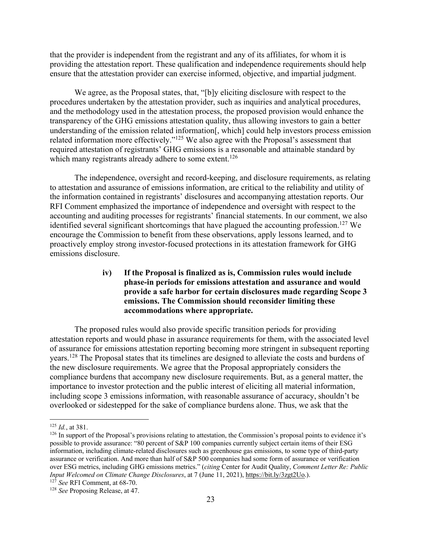that the provider is independent from the registrant and any of its affiliates, for whom it is providing the attestation report. These qualification and independence requirements should help ensure that the attestation provider can exercise informed, objective, and impartial judgment.

We agree, as the Proposal states, that, "[b]y eliciting disclosure with respect to the procedures undertaken by the attestation provider, such as inquiries and analytical procedures, and the methodology used in the attestation process, the proposed provision would enhance the transparency of the GHG emissions attestation quality, thus allowing investors to gain a better understanding of the emission related information[, which] could help investors process emission related information more effectively."125 We also agree with the Proposal's assessment that required attestation of registrants' GHG emissions is a reasonable and attainable standard by which many registrants already adhere to some extent.<sup>126</sup>

The independence, oversight and record-keeping, and disclosure requirements, as relating to attestation and assurance of emissions information, are critical to the reliability and utility of the information contained in registrants' disclosures and accompanying attestation reports. Our RFI Comment emphasized the importance of independence and oversight with respect to the accounting and auditing processes for registrants' financial statements. In our comment, we also identified several significant shortcomings that have plagued the accounting profession.<sup>127</sup> We encourage the Commission to benefit from these observations, apply lessons learned, and to proactively employ strong investor-focused protections in its attestation framework for GHG emissions disclosure.

# **iv) If the Proposal is finalized as is, Commission rules would include phase-in periods for emissions attestation and assurance and would provide a safe harbor for certain disclosures made regarding Scope 3 emissions. The Commission should reconsider limiting these accommodations where appropriate.**

The proposed rules would also provide specific transition periods for providing attestation reports and would phase in assurance requirements for them, with the associated level of assurance for emissions attestation reporting becoming more stringent in subsequent reporting years.128 The Proposal states that its timelines are designed to alleviate the costs and burdens of the new disclosure requirements. We agree that the Proposal appropriately considers the compliance burdens that accompany new disclosure requirements. But, as a general matter, the importance to investor protection and the public interest of eliciting all material information, including scope 3 emissions information, with reasonable assurance of accuracy, shouldn't be overlooked or sidestepped for the sake of compliance burdens alone. Thus, we ask that the

<sup>125</sup> *Id.*, at 381.

 $126$  In support of the Proposal's provisions relating to attestation, the Commission's proposal points to evidence it's possible to provide assurance: "80 percent of S&P 100 companies currently subject certain items of their ESG information, including climate-related disclosures such as greenhouse gas emissions, to some type of third-party assurance or verification. And more than half of S&P 500 companies had some form of assurance or verification over ESG metrics, including GHG emissions metrics." (*citing* Center for Audit Quality, *Comment Letter Re: Public Input Welcomed on Climate Change Disclosures*, at 7 (June 11, 2021), https://bit.ly/3zgt2Uo.). <sup>127</sup> *See* RFI Comment, at 68-70.

<sup>128</sup> *See* Proposing Release, at 47.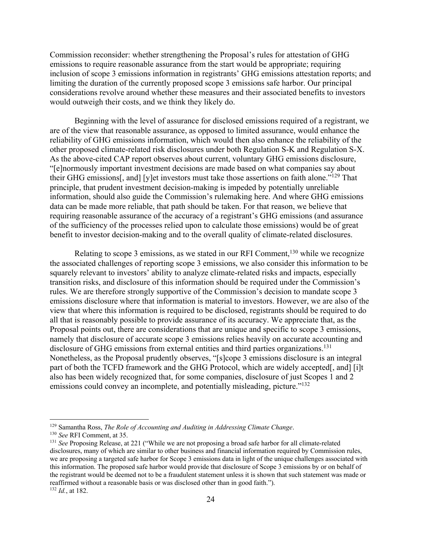Commission reconsider: whether strengthening the Proposal's rules for attestation of GHG emissions to require reasonable assurance from the start would be appropriate; requiring inclusion of scope 3 emissions information in registrants' GHG emissions attestation reports; and limiting the duration of the currently proposed scope 3 emissions safe harbor. Our principal considerations revolve around whether these measures and their associated benefits to investors would outweigh their costs, and we think they likely do.

Beginning with the level of assurance for disclosed emissions required of a registrant, we are of the view that reasonable assurance, as opposed to limited assurance, would enhance the reliability of GHG emissions information, which would then also enhance the reliability of the other proposed climate-related risk disclosures under both Regulation S-K and Regulation S-X. As the above-cited CAP report observes about current, voluntary GHG emissions disclosure, "[e]normously important investment decisions are made based on what companies say about their GHG emissions[, and] [y]et investors must take those assertions on faith alone."129 That principle, that prudent investment decision-making is impeded by potentially unreliable information, should also guide the Commission's rulemaking here. And where GHG emissions data can be made more reliable, that path should be taken. For that reason, we believe that requiring reasonable assurance of the accuracy of a registrant's GHG emissions (and assurance of the sufficiency of the processes relied upon to calculate those emissions) would be of great benefit to investor decision-making and to the overall quality of climate-related disclosures.

Relating to scope 3 emissions, as we stated in our RFI Comment,<sup>130</sup> while we recognize the associated challenges of reporting scope 3 emissions, we also consider this information to be squarely relevant to investors' ability to analyze climate-related risks and impacts, especially transition risks, and disclosure of this information should be required under the Commission's rules. We are therefore strongly supportive of the Commission's decision to mandate scope 3 emissions disclosure where that information is material to investors. However, we are also of the view that where this information is required to be disclosed, registrants should be required to do all that is reasonably possible to provide assurance of its accuracy. We appreciate that, as the Proposal points out, there are considerations that are unique and specific to scope 3 emissions, namely that disclosure of accurate scope 3 emissions relies heavily on accurate accounting and disclosure of GHG emissions from external entities and third parties organizations.<sup>131</sup> Nonetheless, as the Proposal prudently observes, "[s]cope 3 emissions disclosure is an integral part of both the TCFD framework and the GHG Protocol, which are widely accepted[, and] [i]t also has been widely recognized that, for some companies, disclosure of just Scopes 1 and 2 emissions could convey an incomplete, and potentially misleading, picture."<sup>132</sup>

<sup>129</sup> Samantha Ross, *The Role of Accounting and Auditing in Addressing Climate Change*.

<sup>130</sup> *See* RFI Comment, at 35.

<sup>131</sup> *See* Proposing Release, at 221 ("While we are not proposing a broad safe harbor for all climate-related disclosures, many of which are similar to other business and financial information required by Commission rules, we are proposing a targeted safe harbor for Scope 3 emissions data in light of the unique challenges associated with this information. The proposed safe harbor would provide that disclosure of Scope 3 emissions by or on behalf of the registrant would be deemed not to be a fraudulent statement unless it is shown that such statement was made or reaffirmed without a reasonable basis or was disclosed other than in good faith."). <sup>132</sup> *Id.*, at 182.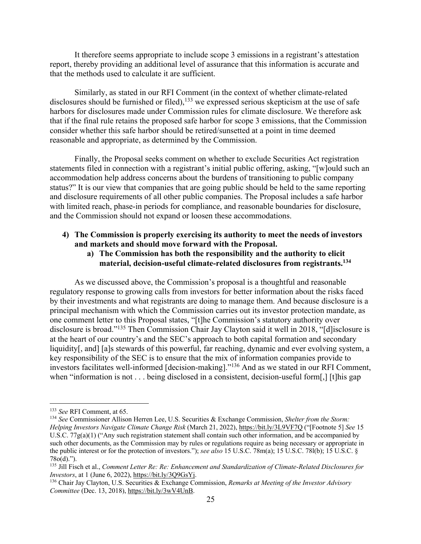It therefore seems appropriate to include scope 3 emissions in a registrant's attestation report, thereby providing an additional level of assurance that this information is accurate and that the methods used to calculate it are sufficient.

Similarly, as stated in our RFI Comment (in the context of whether climate-related disclosures should be furnished or filed), $133$  we expressed serious skepticism at the use of safe harbors for disclosures made under Commission rules for climate disclosure. We therefore ask that if the final rule retains the proposed safe harbor for scope 3 emissions, that the Commission consider whether this safe harbor should be retired/sunsetted at a point in time deemed reasonable and appropriate, as determined by the Commission.

Finally, the Proposal seeks comment on whether to exclude Securities Act registration statements filed in connection with a registrant's initial public offering, asking, "[w]ould such an accommodation help address concerns about the burdens of transitioning to public company status?" It is our view that companies that are going public should be held to the same reporting and disclosure requirements of all other public companies. The Proposal includes a safe harbor with limited reach, phase-in periods for compliance, and reasonable boundaries for disclosure, and the Commission should not expand or loosen these accommodations.

#### **4) The Commission is properly exercising its authority to meet the needs of investors and markets and should move forward with the Proposal.**

**a) The Commission has both the responsibility and the authority to elicit material, decision-useful climate-related disclosures from registrants.134**

As we discussed above, the Commission's proposal is a thoughtful and reasonable regulatory response to growing calls from investors for better information about the risks faced by their investments and what registrants are doing to manage them. And because disclosure is a principal mechanism with which the Commission carries out its investor protection mandate, as one comment letter to this Proposal states, "[t]he Commission's statutory authority over disclosure is broad."135 Then Commission Chair Jay Clayton said it well in 2018, "[d]isclosure is at the heart of our country's and the SEC's approach to both capital formation and secondary liquidity[, and] [a]s stewards of this powerful, far reaching, dynamic and ever evolving system, a key responsibility of the SEC is to ensure that the mix of information companies provide to investors facilitates well-informed [decision-making]."136 And as we stated in our RFI Comment, when "information is not . . . being disclosed in a consistent, decision-useful form[,] [t]his gap

<sup>133</sup> *See* RFI Comment, at 65.

<sup>134</sup> *See* Commissioner Allison Herren Lee, U.S. Securities & Exchange Commission, *Shelter from the Storm: Helping Investors Navigate Climate Change Risk* (March 21, 2022), https://bit.ly/3L9VF7Q ("[Footnote 5] *See* 15 U.S.C. 77g(a)(1) ("Any such registration statement shall contain such other information, and be accompanied by such other documents, as the Commission may by rules or regulations require as being necessary or appropriate in the public interest or for the protection of investors."); *see also* 15 U.S.C. 78m(a); 15 U.S.C. 78l(b); 15 U.S.C. § 78o(d).").

<sup>135</sup> Jill Fisch et al., *Comment Letter Re: Re: Enhancement and Standardization of Climate-Related Disclosures for Investors*, at 1 (June 6, 2022), https://bit.ly/3Q9GsY<sub>1</sub>.<br><sup>136</sup> Chair Jay Clayton, U.S. Securities & Exchange Commission, *Remarks at Meeting of the Investor Advisory* 

*Committee* (Dec. 13, 2018), https://bit.ly/3wV4UnB.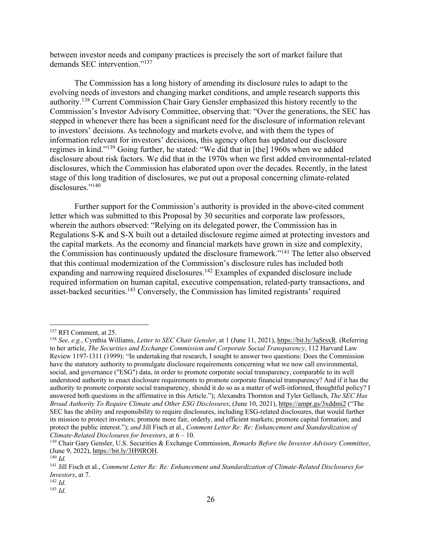between investor needs and company practices is precisely the sort of market failure that demands SEC intervention."<sup>137</sup>

The Commission has a long history of amending its disclosure rules to adapt to the evolving needs of investors and changing market conditions, and ample research supports this authority.138 Current Commission Chair Gary Gensler emphasized this history recently to the Commission's Investor Advisory Committee, observing that: "Over the generations, the SEC has stepped in whenever there has been a significant need for the disclosure of information relevant to investors' decisions. As technology and markets evolve, and with them the types of information relevant for investors' decisions, this agency often has updated our disclosure regimes in kind."139 Going further, he stated: "We did that in [the] 1960s when we added disclosure about risk factors. We did that in the 1970s when we first added environmental-related disclosures, which the Commission has elaborated upon over the decades. Recently, in the latest stage of this long tradition of disclosures, we put out a proposal concerning climate-related disclosures."<sup>140</sup>

Further support for the Commission's authority is provided in the above-cited comment letter which was submitted to this Proposal by 30 securities and corporate law professors, wherein the authors observed: "Relying on its delegated power, the Commission has in Regulations S-K and S-X built out a detailed disclosure regime aimed at protecting investors and the capital markets. As the economy and financial markets have grown in size and complexity, the Commission has continuously updated the disclosure framework."141 The letter also observed that this continual modernization of the Commission's disclosure rules has included both expanding and narrowing required disclosures.<sup>142</sup> Examples of expanded disclosure include required information on human capital, executive compensation, related-party transactions, and asset-backed securities.<sup>143</sup> Conversely, the Commission has limited registrants' required

<sup>137</sup> RFI Comment, at 25.

<sup>138</sup> *See, e.g.*, Cynthia Williams, *Letter to SEC Chair Gensler*, at 1 (June 11, 2021), https://bit.ly/3aSrsxR. (Referring to her article, *The Securities and Exchange Commission and Corporate Social Transparency*, 112 Harvard Law Review 1197-1311 (1999): "In undertaking that research, I sought to answer two questions: Does the Commission have the statutory authority to promulgate disclosure requirements concerning what we now call environmental, social, and governance ("ESG") data, in order to promote corporate social transparency, comparable to its well understood authority to enact disclosure requirements to promote corporate financial transparency? And if it has the authority to promote corporate social transparency, should it do so as a matter of well-informed, thoughtful policy? I answered both questions in the affirmative in this Article."); Alexandra Thornton and Tyler Gellasch, *The SEC Has Broad Authority To Require Climate and Other ESG Disclosures*, (June 10, 2021), https://ampr.gs/3xddmi2 ("The SEC has the ability and responsibility to require disclosures, including ESG-related disclosures, that would further its mission to protect investors; promote more fair, orderly, and efficient markets; promote capital formation; and protect the public interest."); *and* Jill Fisch et al., *Comment Letter Re: Re: Enhancement and Standardization of Climate-Related Disclosures for Investors*, at 6 – 10.

<sup>139</sup> Chair Gary Gensler, U.S. Securities & Exchange Commission, *Remarks Before the Investor Advisory Committee*, (June 9, 2022), https://bit.ly/3H9IROH. 140 *Id.*

<sup>141</sup> Jill Fisch et al., *Comment Letter Re: Re: Enhancement and Standardization of Climate-Related Disclosures for Investors*, at 7.

<sup>142</sup> *Id*.

<sup>143</sup> *Id*.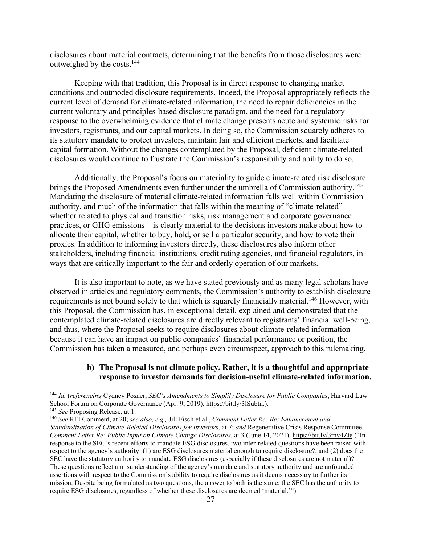disclosures about material contracts, determining that the benefits from those disclosures were outweighed by the costs.144

Keeping with that tradition, this Proposal is in direct response to changing market conditions and outmoded disclosure requirements. Indeed, the Proposal appropriately reflects the current level of demand for climate-related information, the need to repair deficiencies in the current voluntary and principles-based disclosure paradigm, and the need for a regulatory response to the overwhelming evidence that climate change presents acute and systemic risks for investors, registrants, and our capital markets. In doing so, the Commission squarely adheres to its statutory mandate to protect investors, maintain fair and efficient markets, and facilitate capital formation. Without the changes contemplated by the Proposal, deficient climate-related disclosures would continue to frustrate the Commission's responsibility and ability to do so.

Additionally, the Proposal's focus on materiality to guide climate-related risk disclosure brings the Proposed Amendments even further under the umbrella of Commission authority.<sup>145</sup> Mandating the disclosure of material climate-related information falls well within Commission authority, and much of the information that falls within the meaning of "climate-related" – whether related to physical and transition risks, risk management and corporate governance practices, or GHG emissions – is clearly material to the decisions investors make about how to allocate their capital, whether to buy, hold, or sell a particular security, and how to vote their proxies. In addition to informing investors directly, these disclosures also inform other stakeholders, including financial institutions, credit rating agencies, and financial regulators, in ways that are critically important to the fair and orderly operation of our markets.

It is also important to note, as we have stated previously and as many legal scholars have observed in articles and regulatory comments, the Commission's authority to establish disclosure requirements is not bound solely to that which is squarely financially material.<sup>146</sup> However, with this Proposal, the Commission has, in exceptional detail, explained and demonstrated that the contemplated climate-related disclosures are directly relevant to registrants' financial well-being, and thus, where the Proposal seeks to require disclosures about climate-related information because it can have an impact on public companies' financial performance or position, the Commission has taken a measured, and perhaps even circumspect, approach to this rulemaking.

### **b) The Proposal is not climate policy. Rather, it is a thoughtful and appropriate response to investor demands for decision-useful climate-related information.**

<sup>144</sup> *Id.* (*referencing* Cydney Posner, *SEC's Amendments to Simplify Disclosure for Public Companies*, Harvard Law School Forum on Corporate Governance (Apr. 9, 2019), https://bit.ly/3lSubtn.).

<sup>145</sup> *See* Proposing Release, at 1.

<sup>146</sup> *See* RFI Comment, at 20; *see also, e.g.,* Jill Fisch et al., *Comment Letter Re: Re: Enhancement and Standardization of Climate-Related Disclosures for Investors*, at 7; *and* Regenerative Crisis Response Committee, *Comment Letter Re: Public Input on Climate Change Disclosures*, at 3 (June 14, 2021), https://bit.ly/3mv4Zte ("In response to the SEC's recent efforts to mandate ESG disclosures, two inter-related questions have been raised with respect to the agency's authority: (1) are ESG disclosures material enough to require disclosure?; and (2) does the SEC have the statutory authority to mandate ESG disclosures (especially if these disclosures are not material)? These questions reflect a misunderstanding of the agency's mandate and statutory authority and are unfounded assertions with respect to the Commission's ability to require disclosures as it deems necessary to further its mission. Despite being formulated as two questions, the answer to both is the same: the SEC has the authority to require ESG disclosures, regardless of whether these disclosures are deemed 'material.'").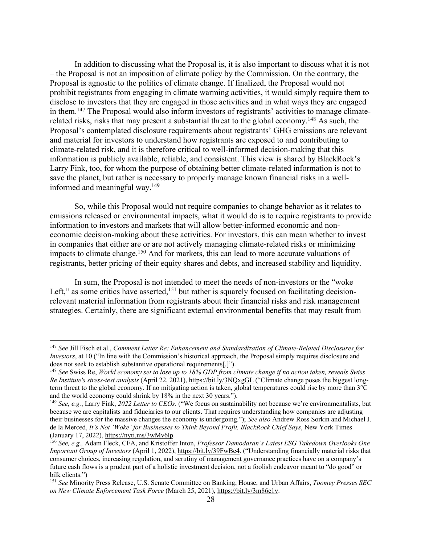In addition to discussing what the Proposal is, it is also important to discuss what it is not – the Proposal is not an imposition of climate policy by the Commission. On the contrary, the Proposal is agnostic to the politics of climate change. If finalized, the Proposal would not prohibit registrants from engaging in climate warming activities, it would simply require them to disclose to investors that they are engaged in those activities and in what ways they are engaged in them.147 The Proposal would also inform investors of registrants' activities to manage climaterelated risks, risks that may present a substantial threat to the global economy.<sup>148</sup> As such, the Proposal's contemplated disclosure requirements about registrants' GHG emissions are relevant and material for investors to understand how registrants are exposed to and contributing to climate-related risk, and it is therefore critical to well-informed decision-making that this information is publicly available, reliable, and consistent. This view is shared by BlackRock's Larry Fink, too, for whom the purpose of obtaining better climate-related information is not to save the planet, but rather is necessary to properly manage known financial risks in a wellinformed and meaningful way.149

So, while this Proposal would not require companies to change behavior as it relates to emissions released or environmental impacts, what it would do is to require registrants to provide information to investors and markets that will allow better-informed economic and noneconomic decision-making about these activities. For investors, this can mean whether to invest in companies that either are or are not actively managing climate-related risks or minimizing impacts to climate change.<sup>150</sup> And for markets, this can lead to more accurate valuations of registrants, better pricing of their equity shares and debts, and increased stability and liquidity.

In sum, the Proposal is not intended to meet the needs of non-investors or the "woke Left," as some critics have asserted, $151$  but rather is squarely focused on facilitating decisionrelevant material information from registrants about their financial risks and risk management strategies. Certainly, there are significant external environmental benefits that may result from

<sup>147</sup> *See* Jill Fisch et al., *Comment Letter Re: Enhancement and Standardization of Climate-Related Disclosures for Investors*, at 10 ("In line with the Commission's historical approach, the Proposal simply requires disclosure and does not seek to establish substantive operational requirements[.]").

<sup>148</sup> *See* Swiss Re, *World economy set to lose up to 18% GDP from climate change if no action taken, reveals Swiss Re Institute's stress-test analysis* (April 22, 2021), https://bit.ly/3NQxgGL ("Climate change poses the biggest longterm threat to the global economy. If no mitigating action is taken, global temperatures could rise by more than 3°C and the world economy could shrink by 18% in the next 30 years.").

<sup>149</sup> *See, e.g.*, Larry Fink, *2022 Letter to CEOs*. ("We focus on sustainability not because we're environmentalists, but because we are capitalists and fiduciaries to our clients. That requires understanding how companies are adjusting their businesses for the massive changes the economy is undergoing."); *See also* Andrew Ross Sorkin and Michael J. de la Merced, *It's Not 'Woke' for Businesses to Think Beyond Profit, BlackRock Chief Says*, New York Times (January 17, 2022), https://nyti.ms/3wMv6lp.

<sup>150</sup> *See, e.g.,* Adam Fleck, CFA, and Kristoffer Inton, *Professor Damodaran's Latest ESG Takedown Overlooks One Important Group of Investors* (April 1, 2022), https://bit.ly/39FwBc4. ("Understanding financially material risks that consumer choices, increasing regulation, and scrutiny of management governance practices have on a company's future cash flows is a prudent part of a holistic investment decision, not a foolish endeavor meant to "do good" or bilk clients.")

<sup>151</sup> *See* Minority Press Release, U.S. Senate Committee on Banking, House, and Urban Affairs, *Toomey Presses SEC on New Climate Enforcement Task Force* (March 25, 2021), https://bit.ly/3m86e1v.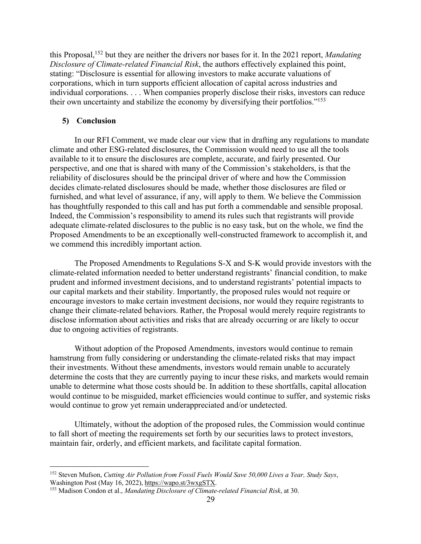this Proposal,152 but they are neither the drivers nor bases for it. In the 2021 report, *Mandating Disclosure of Climate-related Financial Risk*, the authors effectively explained this point, stating: "Disclosure is essential for allowing investors to make accurate valuations of corporations, which in turn supports efficient allocation of capital across industries and individual corporations. . . . When companies properly disclose their risks, investors can reduce their own uncertainty and stabilize the economy by diversifying their portfolios."153

#### **5) Conclusion**

In our RFI Comment, we made clear our view that in drafting any regulations to mandate climate and other ESG-related disclosures, the Commission would need to use all the tools available to it to ensure the disclosures are complete, accurate, and fairly presented. Our perspective, and one that is shared with many of the Commission's stakeholders, is that the reliability of disclosures should be the principal driver of where and how the Commission decides climate-related disclosures should be made, whether those disclosures are filed or furnished, and what level of assurance, if any, will apply to them. We believe the Commission has thoughtfully responded to this call and has put forth a commendable and sensible proposal. Indeed, the Commission's responsibility to amend its rules such that registrants will provide adequate climate-related disclosures to the public is no easy task, but on the whole, we find the Proposed Amendments to be an exceptionally well-constructed framework to accomplish it, and we commend this incredibly important action.

The Proposed Amendments to Regulations S-X and S-K would provide investors with the climate-related information needed to better understand registrants' financial condition, to make prudent and informed investment decisions, and to understand registrants' potential impacts to our capital markets and their stability. Importantly, the proposed rules would not require or encourage investors to make certain investment decisions, nor would they require registrants to change their climate-related behaviors. Rather, the Proposal would merely require registrants to disclose information about activities and risks that are already occurring or are likely to occur due to ongoing activities of registrants.

Without adoption of the Proposed Amendments, investors would continue to remain hamstrung from fully considering or understanding the climate-related risks that may impact their investments. Without these amendments, investors would remain unable to accurately determine the costs that they are currently paying to incur these risks, and markets would remain unable to determine what those costs should be. In addition to these shortfalls, capital allocation would continue to be misguided, market efficiencies would continue to suffer, and systemic risks would continue to grow yet remain underappreciated and/or undetected.

Ultimately, without the adoption of the proposed rules, the Commission would continue to fall short of meeting the requirements set forth by our securities laws to protect investors, maintain fair, orderly, and efficient markets, and facilitate capital formation.

<sup>152</sup> Steven Mufson, *Cutting Air Pollution from Fossil Fuels Would Save 50,000 Lives a Year, Study Says*, Washington Post (May 16, 2022), https://wapo.st/3wxgSTX. 153 Madison Condon et al., *Mandating Disclosure of Climate-related Financial Risk*, at 30.